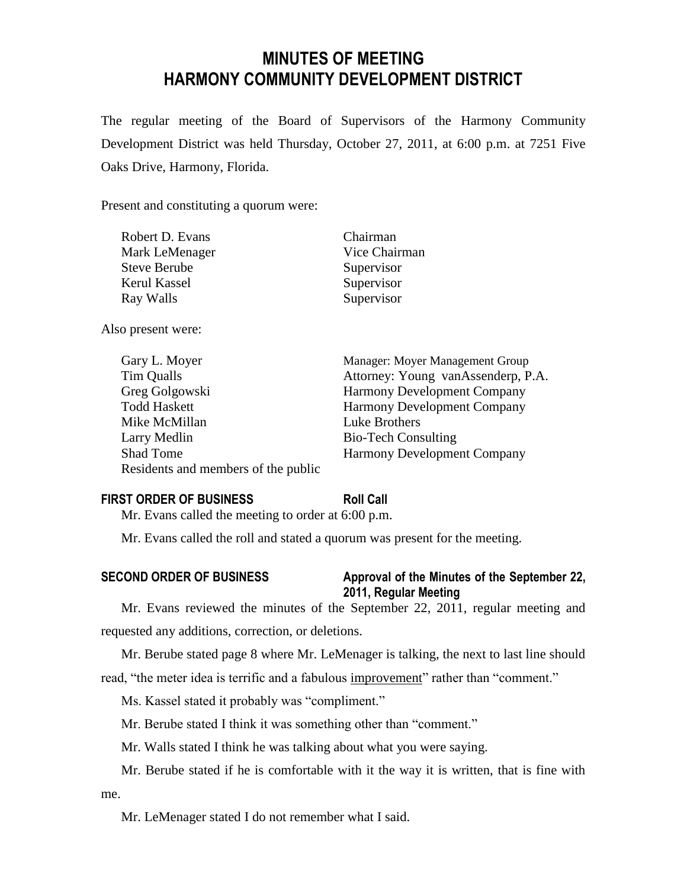# **MINUTES OF MEETING HARMONY COMMUNITY DEVELOPMENT DISTRICT**

The regular meeting of the Board of Supervisors of the Harmony Community Development District was held Thursday, October 27, 2011, at 6:00 p.m. at 7251 Five Oaks Drive, Harmony, Florida.

Present and constituting a quorum were:

| Robert D. Evans     | Chairman      |
|---------------------|---------------|
| Mark LeMenager      | Vice Chairman |
| <b>Steve Berube</b> | Supervisor    |
| Kerul Kassel        | Supervisor    |
| Ray Walls           | Supervisor    |
|                     |               |

Also present were:

| Gary L. Moyer                       | Manager: Moyer Management Group    |
|-------------------------------------|------------------------------------|
| Tim Qualls                          | Attorney: Young vanAssenderp, P.A. |
| Greg Golgowski                      | <b>Harmony Development Company</b> |
| <b>Todd Haskett</b>                 | <b>Harmony Development Company</b> |
| Mike McMillan                       | Luke Brothers                      |
| Larry Medlin                        | <b>Bio-Tech Consulting</b>         |
| <b>Shad Tome</b>                    | <b>Harmony Development Company</b> |
| Residents and members of the public |                                    |

## **FIRST ORDER OF BUSINESS Roll Call**

Mr. Evans called the meeting to order at 6:00 p.m.

Mr. Evans called the roll and stated a quorum was present for the meeting.

# **SECOND ORDER OF BUSINESS Approval of the Minutes of the September 22, 2011, Regular Meeting**

Mr. Evans reviewed the minutes of the September 22, 2011, regular meeting and requested any additions, correction, or deletions.

Mr. Berube stated page 8 where Mr. LeMenager is talking, the next to last line should read, "the meter idea is terrific and a fabulous improvement" rather than "comment."

Ms. Kassel stated it probably was "compliment."

Mr. Berube stated I think it was something other than "comment."

Mr. Walls stated I think he was talking about what you were saying.

Mr. Berube stated if he is comfortable with it the way it is written, that is fine with me.

Mr. LeMenager stated I do not remember what I said.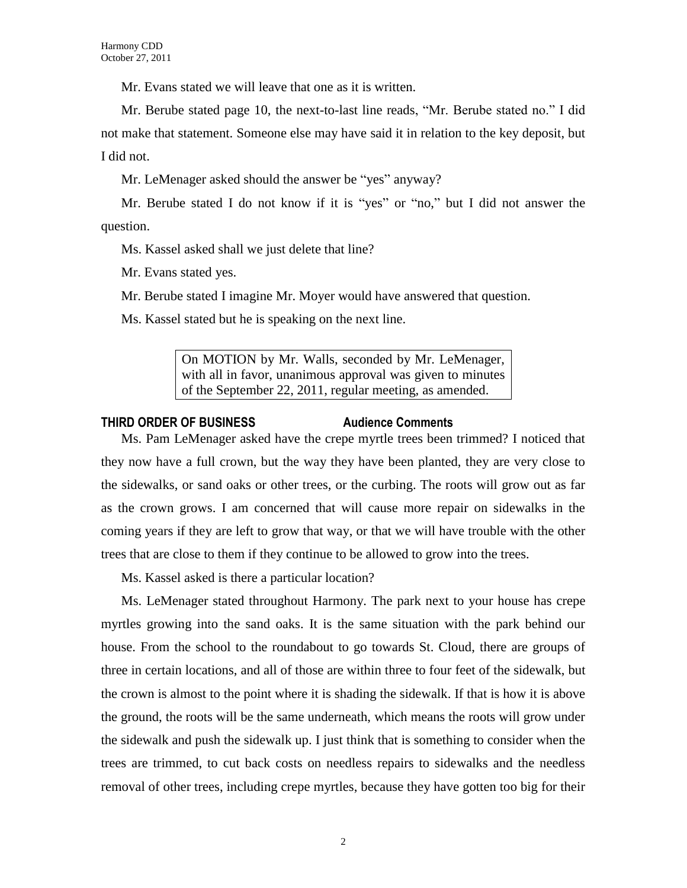Mr. Evans stated we will leave that one as it is written.

Mr. Berube stated page 10, the next-to-last line reads, "Mr. Berube stated no." I did not make that statement. Someone else may have said it in relation to the key deposit, but I did not.

Mr. LeMenager asked should the answer be "yes" anyway?

Mr. Berube stated I do not know if it is "yes" or "no," but I did not answer the question.

Ms. Kassel asked shall we just delete that line?

Mr. Evans stated yes.

Mr. Berube stated I imagine Mr. Moyer would have answered that question.

Ms. Kassel stated but he is speaking on the next line.

On MOTION by Mr. Walls, seconded by Mr. LeMenager, with all in favor, unanimous approval was given to minutes of the September 22, 2011, regular meeting, as amended.

#### **THIRD ORDER OF BUSINESS Audience Comments**

Ms. Pam LeMenager asked have the crepe myrtle trees been trimmed? I noticed that they now have a full crown, but the way they have been planted, they are very close to the sidewalks, or sand oaks or other trees, or the curbing. The roots will grow out as far as the crown grows. I am concerned that will cause more repair on sidewalks in the coming years if they are left to grow that way, or that we will have trouble with the other trees that are close to them if they continue to be allowed to grow into the trees.

Ms. Kassel asked is there a particular location?

Ms. LeMenager stated throughout Harmony. The park next to your house has crepe myrtles growing into the sand oaks. It is the same situation with the park behind our house. From the school to the roundabout to go towards St. Cloud, there are groups of three in certain locations, and all of those are within three to four feet of the sidewalk, but the crown is almost to the point where it is shading the sidewalk. If that is how it is above the ground, the roots will be the same underneath, which means the roots will grow under the sidewalk and push the sidewalk up. I just think that is something to consider when the trees are trimmed, to cut back costs on needless repairs to sidewalks and the needless removal of other trees, including crepe myrtles, because they have gotten too big for their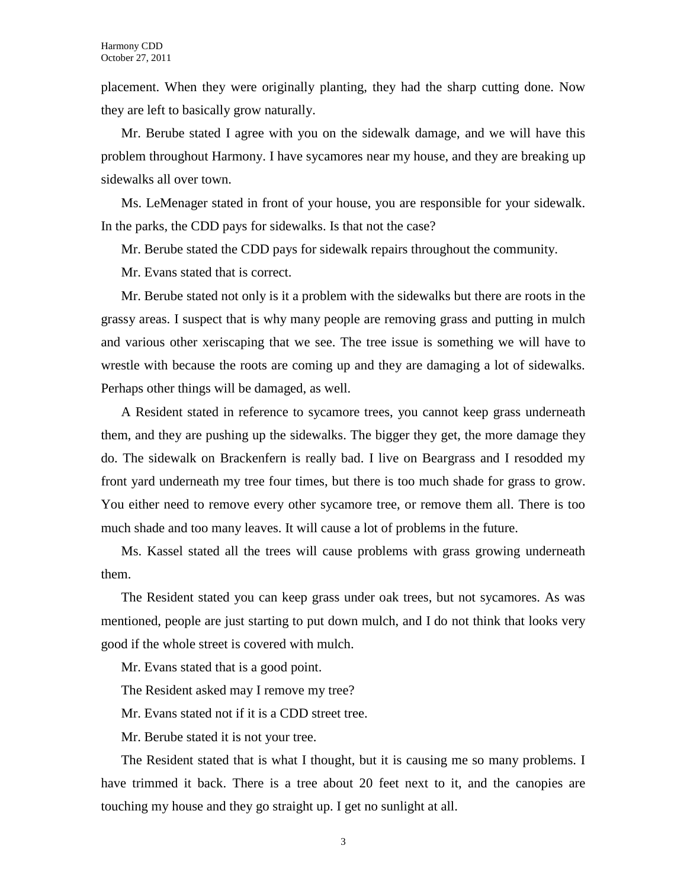placement. When they were originally planting, they had the sharp cutting done. Now they are left to basically grow naturally.

Mr. Berube stated I agree with you on the sidewalk damage, and we will have this problem throughout Harmony. I have sycamores near my house, and they are breaking up sidewalks all over town.

Ms. LeMenager stated in front of your house, you are responsible for your sidewalk. In the parks, the CDD pays for sidewalks. Is that not the case?

Mr. Berube stated the CDD pays for sidewalk repairs throughout the community.

Mr. Evans stated that is correct.

Mr. Berube stated not only is it a problem with the sidewalks but there are roots in the grassy areas. I suspect that is why many people are removing grass and putting in mulch and various other xeriscaping that we see. The tree issue is something we will have to wrestle with because the roots are coming up and they are damaging a lot of sidewalks. Perhaps other things will be damaged, as well.

A Resident stated in reference to sycamore trees, you cannot keep grass underneath them, and they are pushing up the sidewalks. The bigger they get, the more damage they do. The sidewalk on Brackenfern is really bad. I live on Beargrass and I resodded my front yard underneath my tree four times, but there is too much shade for grass to grow. You either need to remove every other sycamore tree, or remove them all. There is too much shade and too many leaves. It will cause a lot of problems in the future.

Ms. Kassel stated all the trees will cause problems with grass growing underneath them.

The Resident stated you can keep grass under oak trees, but not sycamores. As was mentioned, people are just starting to put down mulch, and I do not think that looks very good if the whole street is covered with mulch.

Mr. Evans stated that is a good point.

The Resident asked may I remove my tree?

Mr. Evans stated not if it is a CDD street tree.

Mr. Berube stated it is not your tree.

The Resident stated that is what I thought, but it is causing me so many problems. I have trimmed it back. There is a tree about 20 feet next to it, and the canopies are touching my house and they go straight up. I get no sunlight at all.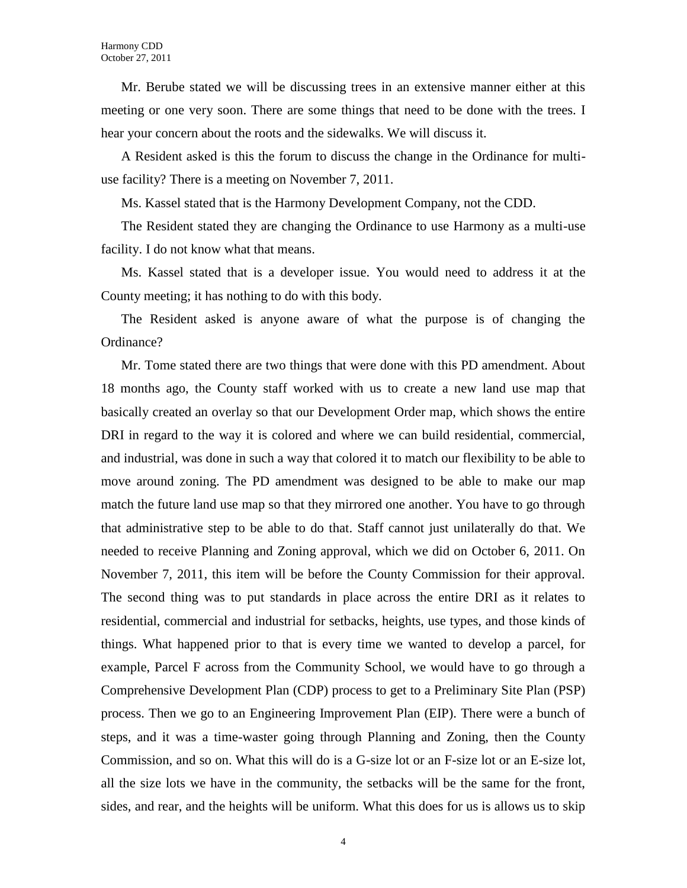Mr. Berube stated we will be discussing trees in an extensive manner either at this meeting or one very soon. There are some things that need to be done with the trees. I hear your concern about the roots and the sidewalks. We will discuss it.

A Resident asked is this the forum to discuss the change in the Ordinance for multiuse facility? There is a meeting on November 7, 2011.

Ms. Kassel stated that is the Harmony Development Company, not the CDD.

The Resident stated they are changing the Ordinance to use Harmony as a multi-use facility. I do not know what that means.

Ms. Kassel stated that is a developer issue. You would need to address it at the County meeting; it has nothing to do with this body.

The Resident asked is anyone aware of what the purpose is of changing the Ordinance?

Mr. Tome stated there are two things that were done with this PD amendment. About 18 months ago, the County staff worked with us to create a new land use map that basically created an overlay so that our Development Order map, which shows the entire DRI in regard to the way it is colored and where we can build residential, commercial, and industrial, was done in such a way that colored it to match our flexibility to be able to move around zoning. The PD amendment was designed to be able to make our map match the future land use map so that they mirrored one another. You have to go through that administrative step to be able to do that. Staff cannot just unilaterally do that. We needed to receive Planning and Zoning approval, which we did on October 6, 2011. On November 7, 2011, this item will be before the County Commission for their approval. The second thing was to put standards in place across the entire DRI as it relates to residential, commercial and industrial for setbacks, heights, use types, and those kinds of things. What happened prior to that is every time we wanted to develop a parcel, for example, Parcel F across from the Community School, we would have to go through a Comprehensive Development Plan (CDP) process to get to a Preliminary Site Plan (PSP) process. Then we go to an Engineering Improvement Plan (EIP). There were a bunch of steps, and it was a time-waster going through Planning and Zoning, then the County Commission, and so on. What this will do is a G-size lot or an F-size lot or an E-size lot, all the size lots we have in the community, the setbacks will be the same for the front, sides, and rear, and the heights will be uniform. What this does for us is allows us to skip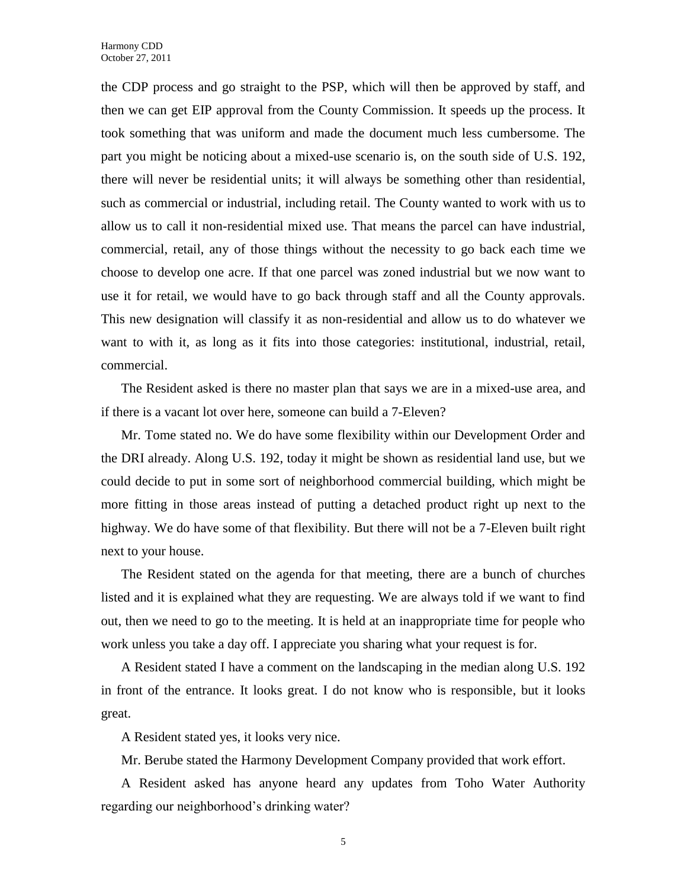the CDP process and go straight to the PSP, which will then be approved by staff, and then we can get EIP approval from the County Commission. It speeds up the process. It took something that was uniform and made the document much less cumbersome. The part you might be noticing about a mixed-use scenario is, on the south side of U.S. 192, there will never be residential units; it will always be something other than residential, such as commercial or industrial, including retail. The County wanted to work with us to allow us to call it non-residential mixed use. That means the parcel can have industrial, commercial, retail, any of those things without the necessity to go back each time we choose to develop one acre. If that one parcel was zoned industrial but we now want to use it for retail, we would have to go back through staff and all the County approvals. This new designation will classify it as non-residential and allow us to do whatever we want to with it, as long as it fits into those categories: institutional, industrial, retail, commercial.

The Resident asked is there no master plan that says we are in a mixed-use area, and if there is a vacant lot over here, someone can build a 7-Eleven?

Mr. Tome stated no. We do have some flexibility within our Development Order and the DRI already. Along U.S. 192, today it might be shown as residential land use, but we could decide to put in some sort of neighborhood commercial building, which might be more fitting in those areas instead of putting a detached product right up next to the highway. We do have some of that flexibility. But there will not be a 7-Eleven built right next to your house.

The Resident stated on the agenda for that meeting, there are a bunch of churches listed and it is explained what they are requesting. We are always told if we want to find out, then we need to go to the meeting. It is held at an inappropriate time for people who work unless you take a day off. I appreciate you sharing what your request is for.

A Resident stated I have a comment on the landscaping in the median along U.S. 192 in front of the entrance. It looks great. I do not know who is responsible, but it looks great.

A Resident stated yes, it looks very nice.

Mr. Berube stated the Harmony Development Company provided that work effort.

A Resident asked has anyone heard any updates from Toho Water Authority regarding our neighborhood's drinking water?

5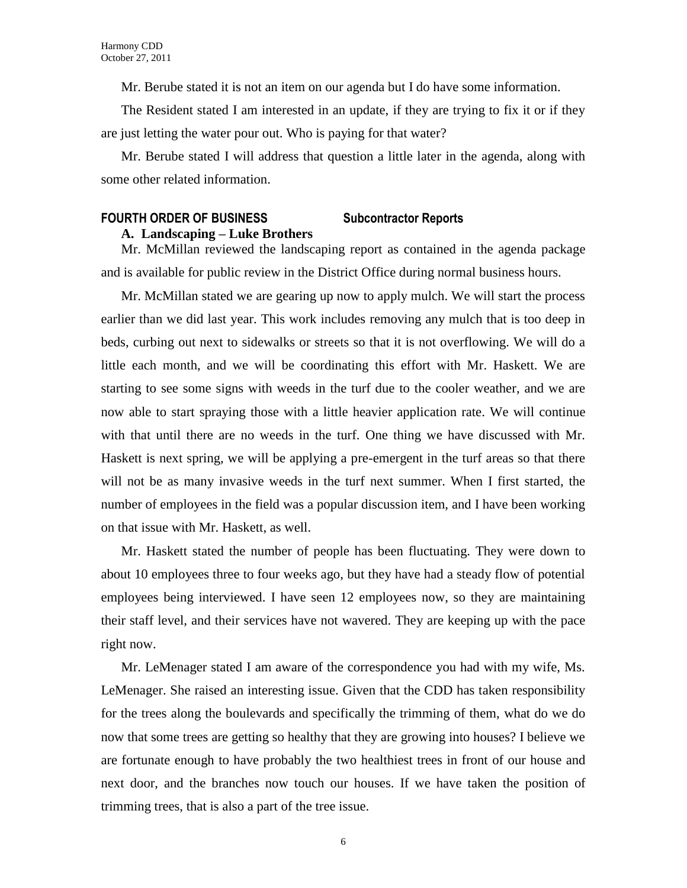Mr. Berube stated it is not an item on our agenda but I do have some information.

The Resident stated I am interested in an update, if they are trying to fix it or if they are just letting the water pour out. Who is paying for that water?

Mr. Berube stated I will address that question a little later in the agenda, along with some other related information.

# **FOURTH ORDER OF BUSINESS Subcontractor Reports**

#### **A. Landscaping – Luke Brothers**

Mr. McMillan reviewed the landscaping report as contained in the agenda package and is available for public review in the District Office during normal business hours.

Mr. McMillan stated we are gearing up now to apply mulch. We will start the process earlier than we did last year. This work includes removing any mulch that is too deep in beds, curbing out next to sidewalks or streets so that it is not overflowing. We will do a little each month, and we will be coordinating this effort with Mr. Haskett. We are starting to see some signs with weeds in the turf due to the cooler weather, and we are now able to start spraying those with a little heavier application rate. We will continue with that until there are no weeds in the turf. One thing we have discussed with Mr. Haskett is next spring, we will be applying a pre-emergent in the turf areas so that there will not be as many invasive weeds in the turf next summer. When I first started, the number of employees in the field was a popular discussion item, and I have been working on that issue with Mr. Haskett, as well.

Mr. Haskett stated the number of people has been fluctuating. They were down to about 10 employees three to four weeks ago, but they have had a steady flow of potential employees being interviewed. I have seen 12 employees now, so they are maintaining their staff level, and their services have not wavered. They are keeping up with the pace right now.

Mr. LeMenager stated I am aware of the correspondence you had with my wife, Ms. LeMenager. She raised an interesting issue. Given that the CDD has taken responsibility for the trees along the boulevards and specifically the trimming of them, what do we do now that some trees are getting so healthy that they are growing into houses? I believe we are fortunate enough to have probably the two healthiest trees in front of our house and next door, and the branches now touch our houses. If we have taken the position of trimming trees, that is also a part of the tree issue.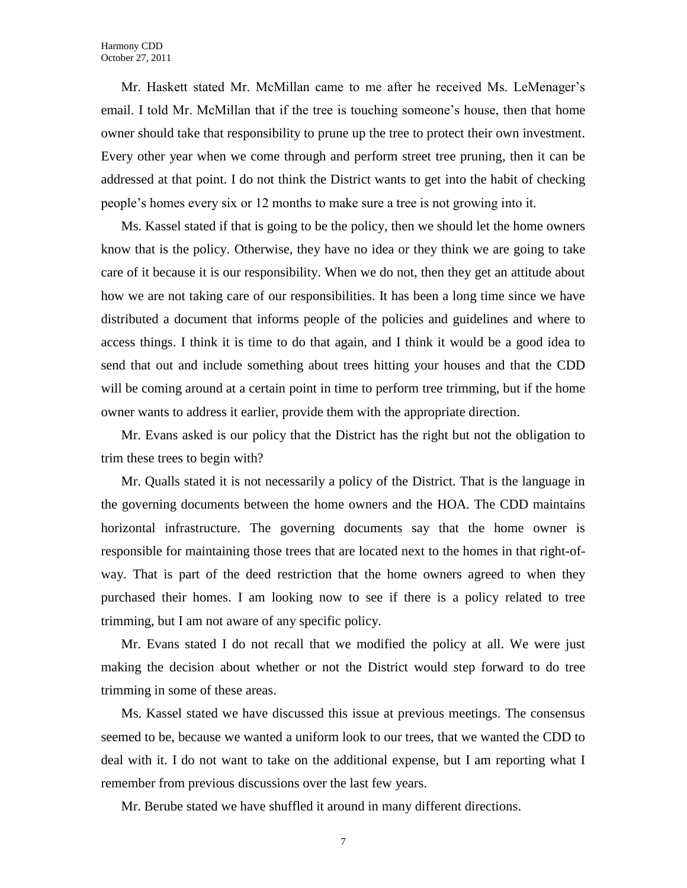Mr. Haskett stated Mr. McMillan came to me after he received Ms. LeMenager's email. I told Mr. McMillan that if the tree is touching someone's house, then that home owner should take that responsibility to prune up the tree to protect their own investment. Every other year when we come through and perform street tree pruning, then it can be addressed at that point. I do not think the District wants to get into the habit of checking people's homes every six or 12 months to make sure a tree is not growing into it.

Ms. Kassel stated if that is going to be the policy, then we should let the home owners know that is the policy. Otherwise, they have no idea or they think we are going to take care of it because it is our responsibility. When we do not, then they get an attitude about how we are not taking care of our responsibilities. It has been a long time since we have distributed a document that informs people of the policies and guidelines and where to access things. I think it is time to do that again, and I think it would be a good idea to send that out and include something about trees hitting your houses and that the CDD will be coming around at a certain point in time to perform tree trimming, but if the home owner wants to address it earlier, provide them with the appropriate direction.

Mr. Evans asked is our policy that the District has the right but not the obligation to trim these trees to begin with?

Mr. Qualls stated it is not necessarily a policy of the District. That is the language in the governing documents between the home owners and the HOA. The CDD maintains horizontal infrastructure. The governing documents say that the home owner is responsible for maintaining those trees that are located next to the homes in that right-ofway. That is part of the deed restriction that the home owners agreed to when they purchased their homes. I am looking now to see if there is a policy related to tree trimming, but I am not aware of any specific policy.

Mr. Evans stated I do not recall that we modified the policy at all. We were just making the decision about whether or not the District would step forward to do tree trimming in some of these areas.

Ms. Kassel stated we have discussed this issue at previous meetings. The consensus seemed to be, because we wanted a uniform look to our trees, that we wanted the CDD to deal with it. I do not want to take on the additional expense, but I am reporting what I remember from previous discussions over the last few years.

Mr. Berube stated we have shuffled it around in many different directions.

7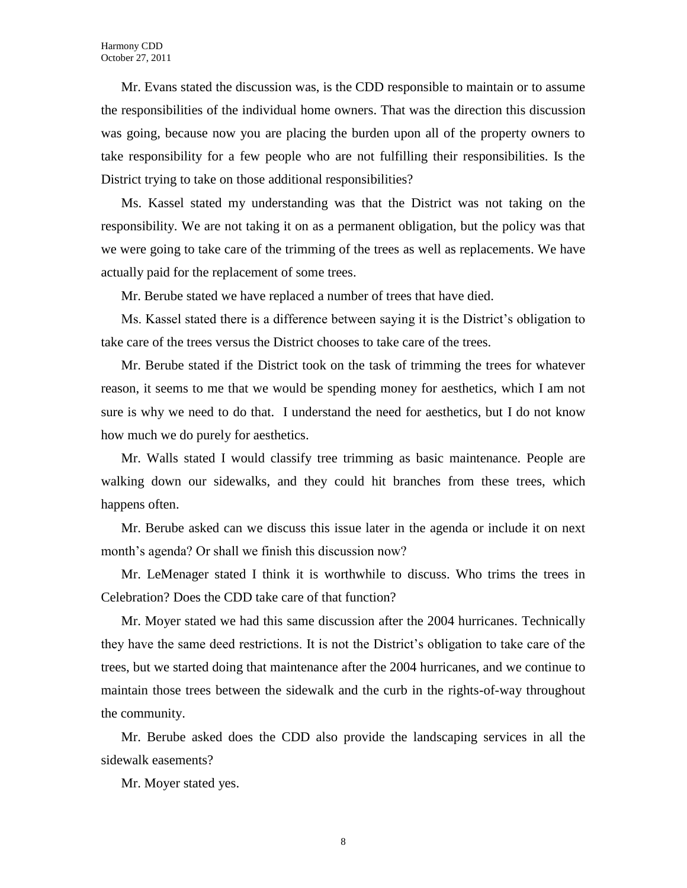Mr. Evans stated the discussion was, is the CDD responsible to maintain or to assume the responsibilities of the individual home owners. That was the direction this discussion was going, because now you are placing the burden upon all of the property owners to take responsibility for a few people who are not fulfilling their responsibilities. Is the District trying to take on those additional responsibilities?

Ms. Kassel stated my understanding was that the District was not taking on the responsibility. We are not taking it on as a permanent obligation, but the policy was that we were going to take care of the trimming of the trees as well as replacements. We have actually paid for the replacement of some trees.

Mr. Berube stated we have replaced a number of trees that have died.

Ms. Kassel stated there is a difference between saying it is the District's obligation to take care of the trees versus the District chooses to take care of the trees.

Mr. Berube stated if the District took on the task of trimming the trees for whatever reason, it seems to me that we would be spending money for aesthetics, which I am not sure is why we need to do that. I understand the need for aesthetics, but I do not know how much we do purely for aesthetics.

Mr. Walls stated I would classify tree trimming as basic maintenance. People are walking down our sidewalks, and they could hit branches from these trees, which happens often.

Mr. Berube asked can we discuss this issue later in the agenda or include it on next month's agenda? Or shall we finish this discussion now?

Mr. LeMenager stated I think it is worthwhile to discuss. Who trims the trees in Celebration? Does the CDD take care of that function?

Mr. Moyer stated we had this same discussion after the 2004 hurricanes. Technically they have the same deed restrictions. It is not the District's obligation to take care of the trees, but we started doing that maintenance after the 2004 hurricanes, and we continue to maintain those trees between the sidewalk and the curb in the rights-of-way throughout the community.

Mr. Berube asked does the CDD also provide the landscaping services in all the sidewalk easements?

Mr. Moyer stated yes.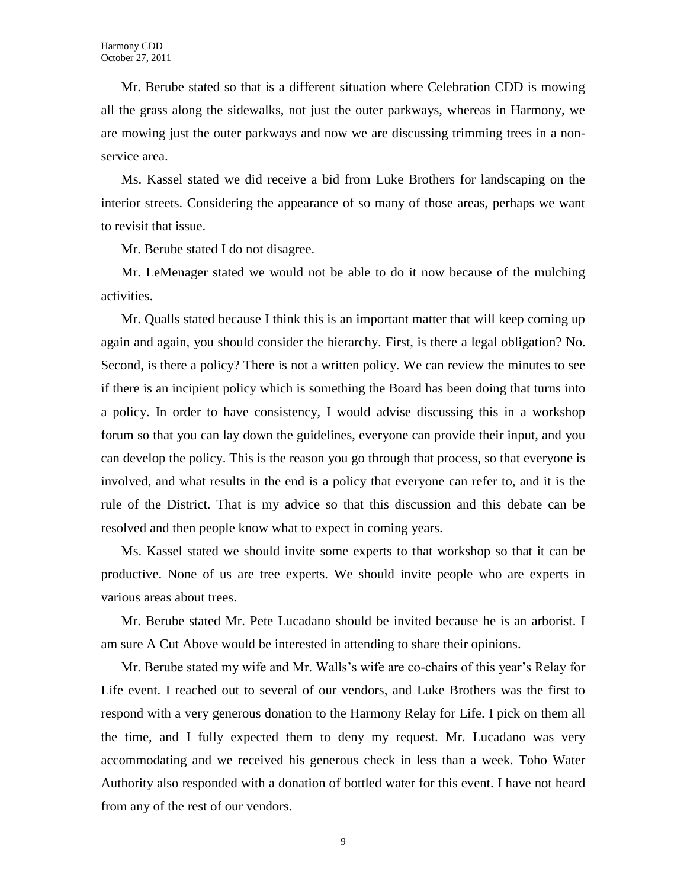Mr. Berube stated so that is a different situation where Celebration CDD is mowing all the grass along the sidewalks, not just the outer parkways, whereas in Harmony, we are mowing just the outer parkways and now we are discussing trimming trees in a nonservice area.

Ms. Kassel stated we did receive a bid from Luke Brothers for landscaping on the interior streets. Considering the appearance of so many of those areas, perhaps we want to revisit that issue.

Mr. Berube stated I do not disagree.

Mr. LeMenager stated we would not be able to do it now because of the mulching activities.

Mr. Qualls stated because I think this is an important matter that will keep coming up again and again, you should consider the hierarchy. First, is there a legal obligation? No. Second, is there a policy? There is not a written policy. We can review the minutes to see if there is an incipient policy which is something the Board has been doing that turns into a policy. In order to have consistency, I would advise discussing this in a workshop forum so that you can lay down the guidelines, everyone can provide their input, and you can develop the policy. This is the reason you go through that process, so that everyone is involved, and what results in the end is a policy that everyone can refer to, and it is the rule of the District. That is my advice so that this discussion and this debate can be resolved and then people know what to expect in coming years.

Ms. Kassel stated we should invite some experts to that workshop so that it can be productive. None of us are tree experts. We should invite people who are experts in various areas about trees.

Mr. Berube stated Mr. Pete Lucadano should be invited because he is an arborist. I am sure A Cut Above would be interested in attending to share their opinions.

Mr. Berube stated my wife and Mr. Walls's wife are co-chairs of this year's Relay for Life event. I reached out to several of our vendors, and Luke Brothers was the first to respond with a very generous donation to the Harmony Relay for Life. I pick on them all the time, and I fully expected them to deny my request. Mr. Lucadano was very accommodating and we received his generous check in less than a week. Toho Water Authority also responded with a donation of bottled water for this event. I have not heard from any of the rest of our vendors.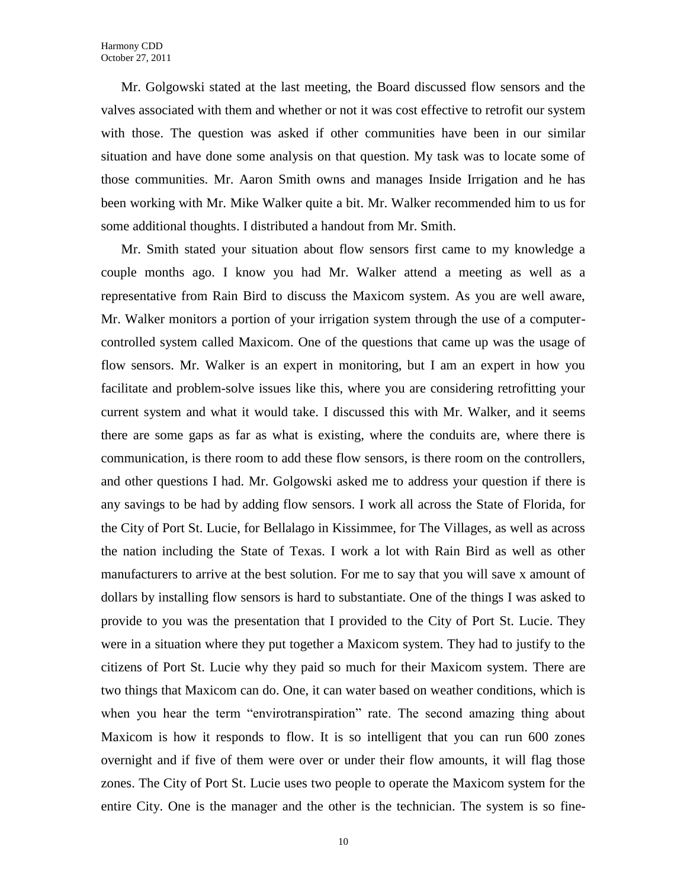Mr. Golgowski stated at the last meeting, the Board discussed flow sensors and the valves associated with them and whether or not it was cost effective to retrofit our system with those. The question was asked if other communities have been in our similar situation and have done some analysis on that question. My task was to locate some of those communities. Mr. Aaron Smith owns and manages Inside Irrigation and he has been working with Mr. Mike Walker quite a bit. Mr. Walker recommended him to us for some additional thoughts. I distributed a handout from Mr. Smith.

Mr. Smith stated your situation about flow sensors first came to my knowledge a couple months ago. I know you had Mr. Walker attend a meeting as well as a representative from Rain Bird to discuss the Maxicom system. As you are well aware, Mr. Walker monitors a portion of your irrigation system through the use of a computercontrolled system called Maxicom. One of the questions that came up was the usage of flow sensors. Mr. Walker is an expert in monitoring, but I am an expert in how you facilitate and problem-solve issues like this, where you are considering retrofitting your current system and what it would take. I discussed this with Mr. Walker, and it seems there are some gaps as far as what is existing, where the conduits are, where there is communication, is there room to add these flow sensors, is there room on the controllers, and other questions I had. Mr. Golgowski asked me to address your question if there is any savings to be had by adding flow sensors. I work all across the State of Florida, for the City of Port St. Lucie, for Bellalago in Kissimmee, for The Villages, as well as across the nation including the State of Texas. I work a lot with Rain Bird as well as other manufacturers to arrive at the best solution. For me to say that you will save x amount of dollars by installing flow sensors is hard to substantiate. One of the things I was asked to provide to you was the presentation that I provided to the City of Port St. Lucie. They were in a situation where they put together a Maxicom system. They had to justify to the citizens of Port St. Lucie why they paid so much for their Maxicom system. There are two things that Maxicom can do. One, it can water based on weather conditions, which is when you hear the term "envirotranspiration" rate. The second amazing thing about Maxicom is how it responds to flow. It is so intelligent that you can run 600 zones overnight and if five of them were over or under their flow amounts, it will flag those zones. The City of Port St. Lucie uses two people to operate the Maxicom system for the entire City. One is the manager and the other is the technician. The system is so fine-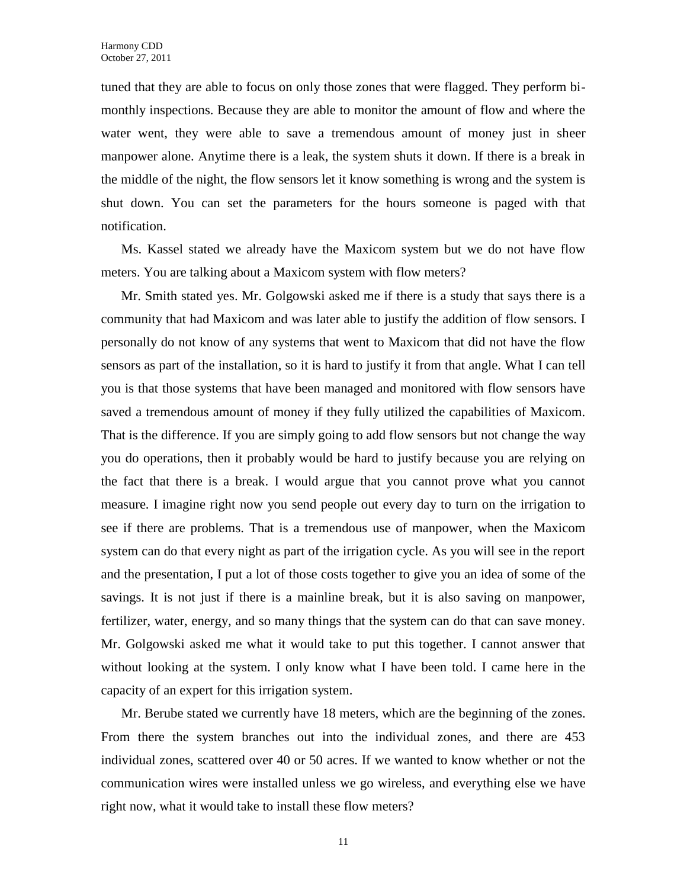tuned that they are able to focus on only those zones that were flagged. They perform bimonthly inspections. Because they are able to monitor the amount of flow and where the water went, they were able to save a tremendous amount of money just in sheer manpower alone. Anytime there is a leak, the system shuts it down. If there is a break in the middle of the night, the flow sensors let it know something is wrong and the system is shut down. You can set the parameters for the hours someone is paged with that notification.

Ms. Kassel stated we already have the Maxicom system but we do not have flow meters. You are talking about a Maxicom system with flow meters?

Mr. Smith stated yes. Mr. Golgowski asked me if there is a study that says there is a community that had Maxicom and was later able to justify the addition of flow sensors. I personally do not know of any systems that went to Maxicom that did not have the flow sensors as part of the installation, so it is hard to justify it from that angle. What I can tell you is that those systems that have been managed and monitored with flow sensors have saved a tremendous amount of money if they fully utilized the capabilities of Maxicom. That is the difference. If you are simply going to add flow sensors but not change the way you do operations, then it probably would be hard to justify because you are relying on the fact that there is a break. I would argue that you cannot prove what you cannot measure. I imagine right now you send people out every day to turn on the irrigation to see if there are problems. That is a tremendous use of manpower, when the Maxicom system can do that every night as part of the irrigation cycle. As you will see in the report and the presentation, I put a lot of those costs together to give you an idea of some of the savings. It is not just if there is a mainline break, but it is also saving on manpower, fertilizer, water, energy, and so many things that the system can do that can save money. Mr. Golgowski asked me what it would take to put this together. I cannot answer that without looking at the system. I only know what I have been told. I came here in the capacity of an expert for this irrigation system.

Mr. Berube stated we currently have 18 meters, which are the beginning of the zones. From there the system branches out into the individual zones, and there are 453 individual zones, scattered over 40 or 50 acres. If we wanted to know whether or not the communication wires were installed unless we go wireless, and everything else we have right now, what it would take to install these flow meters?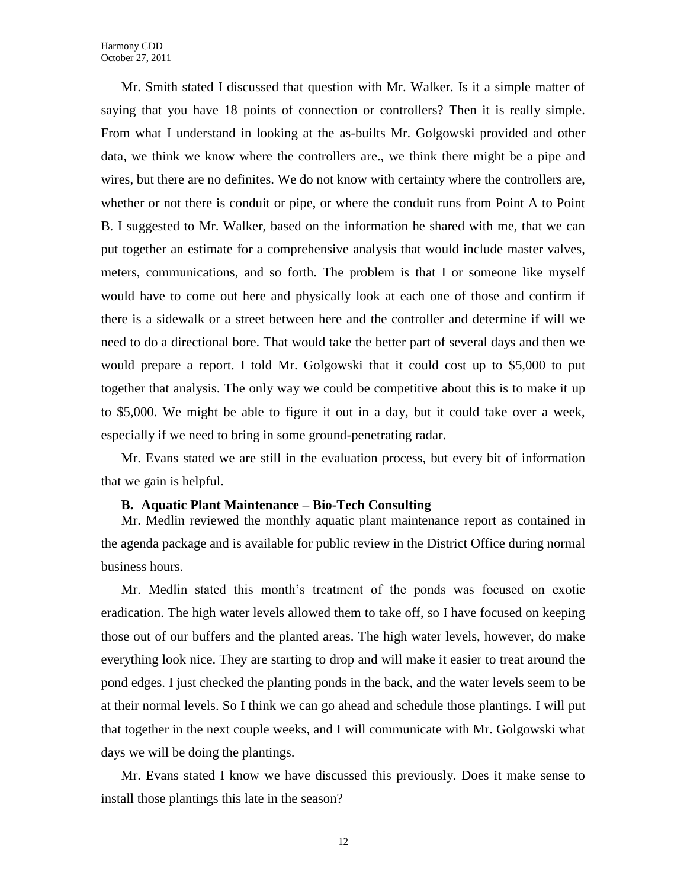Mr. Smith stated I discussed that question with Mr. Walker. Is it a simple matter of saying that you have 18 points of connection or controllers? Then it is really simple. From what I understand in looking at the as-builts Mr. Golgowski provided and other data, we think we know where the controllers are., we think there might be a pipe and wires, but there are no definites. We do not know with certainty where the controllers are, whether or not there is conduit or pipe, or where the conduit runs from Point A to Point B. I suggested to Mr. Walker, based on the information he shared with me, that we can put together an estimate for a comprehensive analysis that would include master valves, meters, communications, and so forth. The problem is that I or someone like myself would have to come out here and physically look at each one of those and confirm if there is a sidewalk or a street between here and the controller and determine if will we need to do a directional bore. That would take the better part of several days and then we would prepare a report. I told Mr. Golgowski that it could cost up to \$5,000 to put together that analysis. The only way we could be competitive about this is to make it up to \$5,000. We might be able to figure it out in a day, but it could take over a week, especially if we need to bring in some ground-penetrating radar.

Mr. Evans stated we are still in the evaluation process, but every bit of information that we gain is helpful.

### **B. Aquatic Plant Maintenance – Bio-Tech Consulting**

Mr. Medlin reviewed the monthly aquatic plant maintenance report as contained in the agenda package and is available for public review in the District Office during normal business hours.

Mr. Medlin stated this month's treatment of the ponds was focused on exotic eradication. The high water levels allowed them to take off, so I have focused on keeping those out of our buffers and the planted areas. The high water levels, however, do make everything look nice. They are starting to drop and will make it easier to treat around the pond edges. I just checked the planting ponds in the back, and the water levels seem to be at their normal levels. So I think we can go ahead and schedule those plantings. I will put that together in the next couple weeks, and I will communicate with Mr. Golgowski what days we will be doing the plantings.

Mr. Evans stated I know we have discussed this previously. Does it make sense to install those plantings this late in the season?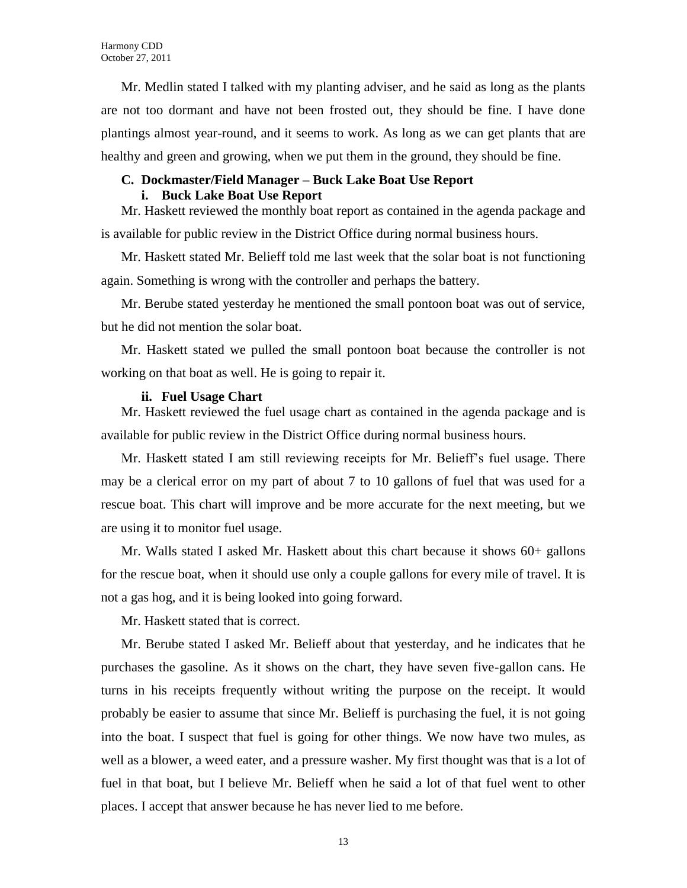Mr. Medlin stated I talked with my planting adviser, and he said as long as the plants are not too dormant and have not been frosted out, they should be fine. I have done plantings almost year-round, and it seems to work. As long as we can get plants that are healthy and green and growing, when we put them in the ground, they should be fine.

#### **C. Dockmaster/Field Manager – Buck Lake Boat Use Report**

#### **i. Buck Lake Boat Use Report**

Mr. Haskett reviewed the monthly boat report as contained in the agenda package and is available for public review in the District Office during normal business hours.

Mr. Haskett stated Mr. Belieff told me last week that the solar boat is not functioning again. Something is wrong with the controller and perhaps the battery.

Mr. Berube stated yesterday he mentioned the small pontoon boat was out of service, but he did not mention the solar boat.

Mr. Haskett stated we pulled the small pontoon boat because the controller is not working on that boat as well. He is going to repair it.

#### **ii. Fuel Usage Chart**

Mr. Haskett reviewed the fuel usage chart as contained in the agenda package and is available for public review in the District Office during normal business hours.

Mr. Haskett stated I am still reviewing receipts for Mr. Belieff's fuel usage. There may be a clerical error on my part of about 7 to 10 gallons of fuel that was used for a rescue boat. This chart will improve and be more accurate for the next meeting, but we are using it to monitor fuel usage.

Mr. Walls stated I asked Mr. Haskett about this chart because it shows 60+ gallons for the rescue boat, when it should use only a couple gallons for every mile of travel. It is not a gas hog, and it is being looked into going forward.

Mr. Haskett stated that is correct.

Mr. Berube stated I asked Mr. Belieff about that yesterday, and he indicates that he purchases the gasoline. As it shows on the chart, they have seven five-gallon cans. He turns in his receipts frequently without writing the purpose on the receipt. It would probably be easier to assume that since Mr. Belieff is purchasing the fuel, it is not going into the boat. I suspect that fuel is going for other things. We now have two mules, as well as a blower, a weed eater, and a pressure washer. My first thought was that is a lot of fuel in that boat, but I believe Mr. Belieff when he said a lot of that fuel went to other places. I accept that answer because he has never lied to me before.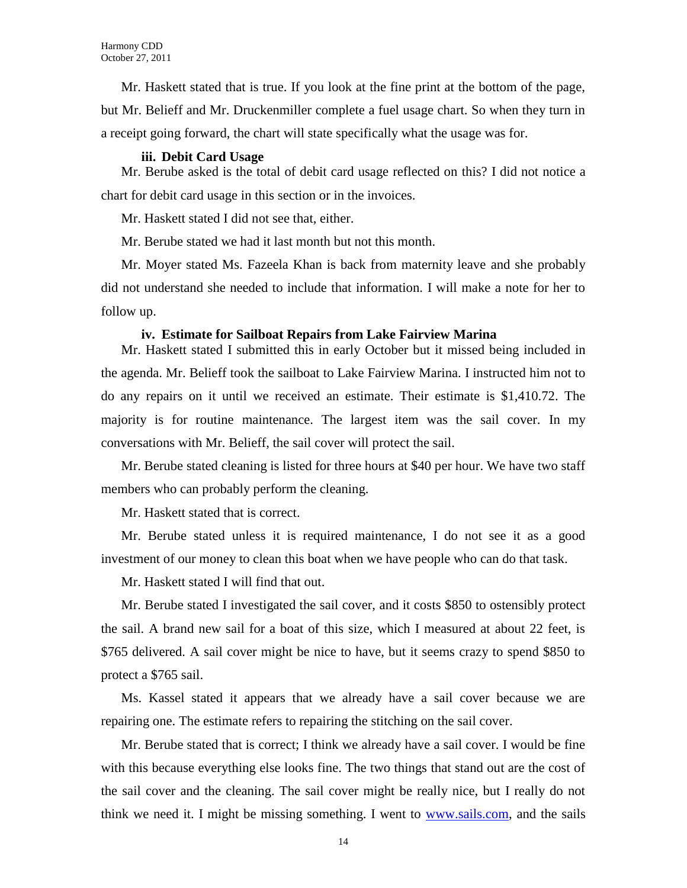Mr. Haskett stated that is true. If you look at the fine print at the bottom of the page, but Mr. Belieff and Mr. Druckenmiller complete a fuel usage chart. So when they turn in a receipt going forward, the chart will state specifically what the usage was for.

### **iii. Debit Card Usage**

Mr. Berube asked is the total of debit card usage reflected on this? I did not notice a chart for debit card usage in this section or in the invoices.

Mr. Haskett stated I did not see that, either.

Mr. Berube stated we had it last month but not this month.

Mr. Moyer stated Ms. Fazeela Khan is back from maternity leave and she probably did not understand she needed to include that information. I will make a note for her to follow up.

#### **iv. Estimate for Sailboat Repairs from Lake Fairview Marina**

Mr. Haskett stated I submitted this in early October but it missed being included in the agenda. Mr. Belieff took the sailboat to Lake Fairview Marina. I instructed him not to do any repairs on it until we received an estimate. Their estimate is \$1,410.72. The majority is for routine maintenance. The largest item was the sail cover. In my conversations with Mr. Belieff, the sail cover will protect the sail.

Mr. Berube stated cleaning is listed for three hours at \$40 per hour. We have two staff members who can probably perform the cleaning.

Mr. Haskett stated that is correct.

Mr. Berube stated unless it is required maintenance, I do not see it as a good investment of our money to clean this boat when we have people who can do that task.

Mr. Haskett stated I will find that out.

Mr. Berube stated I investigated the sail cover, and it costs \$850 to ostensibly protect the sail. A brand new sail for a boat of this size, which I measured at about 22 feet, is \$765 delivered. A sail cover might be nice to have, but it seems crazy to spend \$850 to protect a \$765 sail.

Ms. Kassel stated it appears that we already have a sail cover because we are repairing one. The estimate refers to repairing the stitching on the sail cover.

Mr. Berube stated that is correct; I think we already have a sail cover. I would be fine with this because everything else looks fine. The two things that stand out are the cost of the sail cover and the cleaning. The sail cover might be really nice, but I really do not think we need it. I might be missing something. I went to [www.sails.com,](http://www.sails.com/) and the sails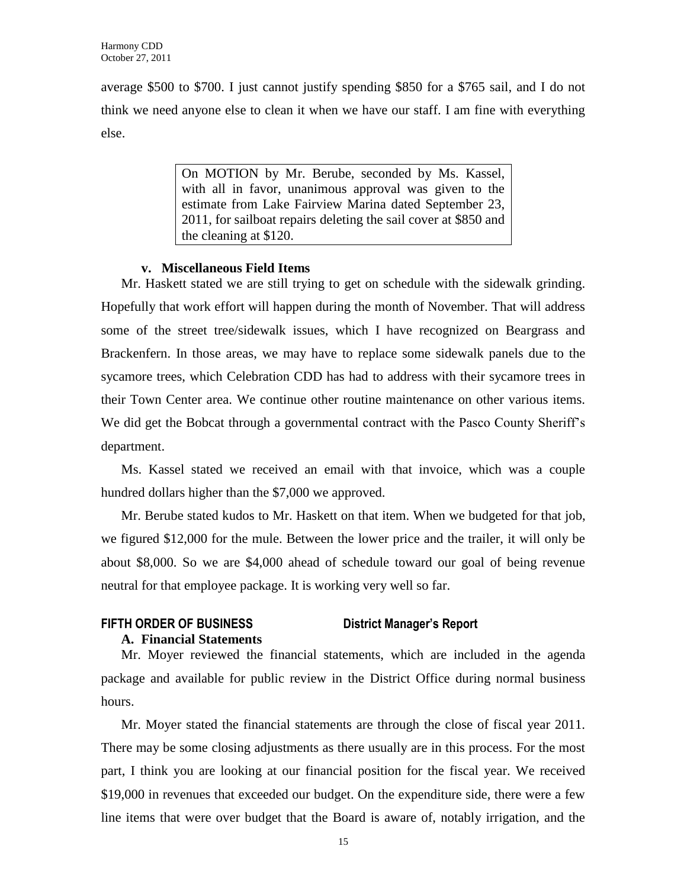average \$500 to \$700. I just cannot justify spending \$850 for a \$765 sail, and I do not think we need anyone else to clean it when we have our staff. I am fine with everything else.

> On MOTION by Mr. Berube, seconded by Ms. Kassel, with all in favor, unanimous approval was given to the estimate from Lake Fairview Marina dated September 23, 2011, for sailboat repairs deleting the sail cover at \$850 and the cleaning at \$120.

# **v. Miscellaneous Field Items**

Mr. Haskett stated we are still trying to get on schedule with the sidewalk grinding. Hopefully that work effort will happen during the month of November. That will address some of the street tree/sidewalk issues, which I have recognized on Beargrass and Brackenfern. In those areas, we may have to replace some sidewalk panels due to the sycamore trees, which Celebration CDD has had to address with their sycamore trees in their Town Center area. We continue other routine maintenance on other various items. We did get the Bobcat through a governmental contract with the Pasco County Sheriff's department.

Ms. Kassel stated we received an email with that invoice, which was a couple hundred dollars higher than the \$7,000 we approved.

Mr. Berube stated kudos to Mr. Haskett on that item. When we budgeted for that job, we figured \$12,000 for the mule. Between the lower price and the trailer, it will only be about \$8,000. So we are \$4,000 ahead of schedule toward our goal of being revenue neutral for that employee package. It is working very well so far.

# **FIFTH ORDER OF BUSINESS District Manager's Report**

# **A. Financial Statements**

Mr. Moyer reviewed the financial statements, which are included in the agenda package and available for public review in the District Office during normal business hours.

Mr. Moyer stated the financial statements are through the close of fiscal year 2011. There may be some closing adjustments as there usually are in this process. For the most part, I think you are looking at our financial position for the fiscal year. We received \$19,000 in revenues that exceeded our budget. On the expenditure side, there were a few line items that were over budget that the Board is aware of, notably irrigation, and the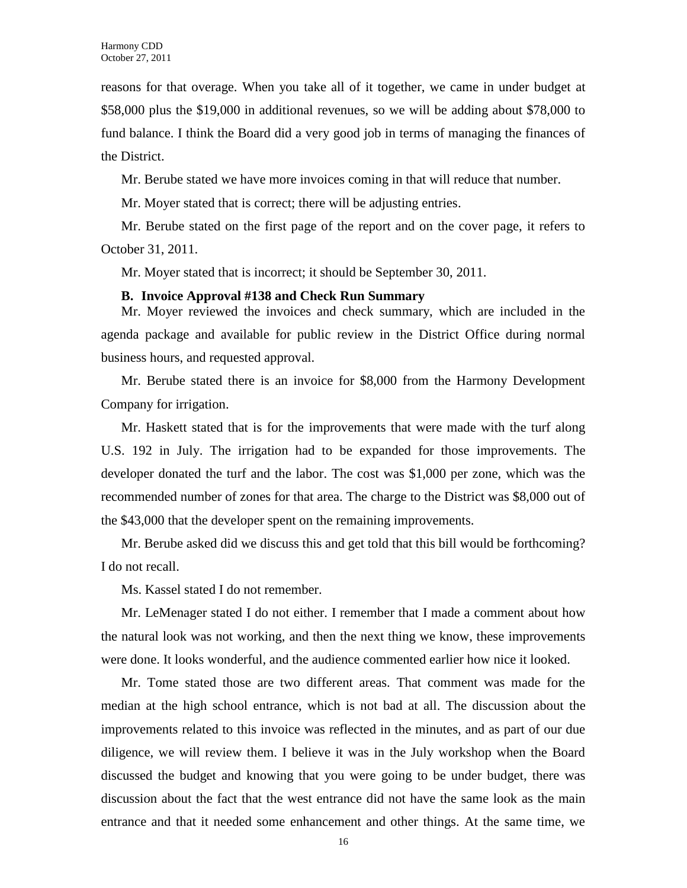reasons for that overage. When you take all of it together, we came in under budget at \$58,000 plus the \$19,000 in additional revenues, so we will be adding about \$78,000 to fund balance. I think the Board did a very good job in terms of managing the finances of the District.

Mr. Berube stated we have more invoices coming in that will reduce that number.

Mr. Moyer stated that is correct; there will be adjusting entries.

Mr. Berube stated on the first page of the report and on the cover page, it refers to October 31, 2011.

Mr. Moyer stated that is incorrect; it should be September 30, 2011.

#### **B. Invoice Approval #138 and Check Run Summary**

Mr. Moyer reviewed the invoices and check summary, which are included in the agenda package and available for public review in the District Office during normal business hours, and requested approval.

Mr. Berube stated there is an invoice for \$8,000 from the Harmony Development Company for irrigation.

Mr. Haskett stated that is for the improvements that were made with the turf along U.S. 192 in July. The irrigation had to be expanded for those improvements. The developer donated the turf and the labor. The cost was \$1,000 per zone, which was the recommended number of zones for that area. The charge to the District was \$8,000 out of the \$43,000 that the developer spent on the remaining improvements.

Mr. Berube asked did we discuss this and get told that this bill would be forthcoming? I do not recall.

Ms. Kassel stated I do not remember.

Mr. LeMenager stated I do not either. I remember that I made a comment about how the natural look was not working, and then the next thing we know, these improvements were done. It looks wonderful, and the audience commented earlier how nice it looked.

Mr. Tome stated those are two different areas. That comment was made for the median at the high school entrance, which is not bad at all. The discussion about the improvements related to this invoice was reflected in the minutes, and as part of our due diligence, we will review them. I believe it was in the July workshop when the Board discussed the budget and knowing that you were going to be under budget, there was discussion about the fact that the west entrance did not have the same look as the main entrance and that it needed some enhancement and other things. At the same time, we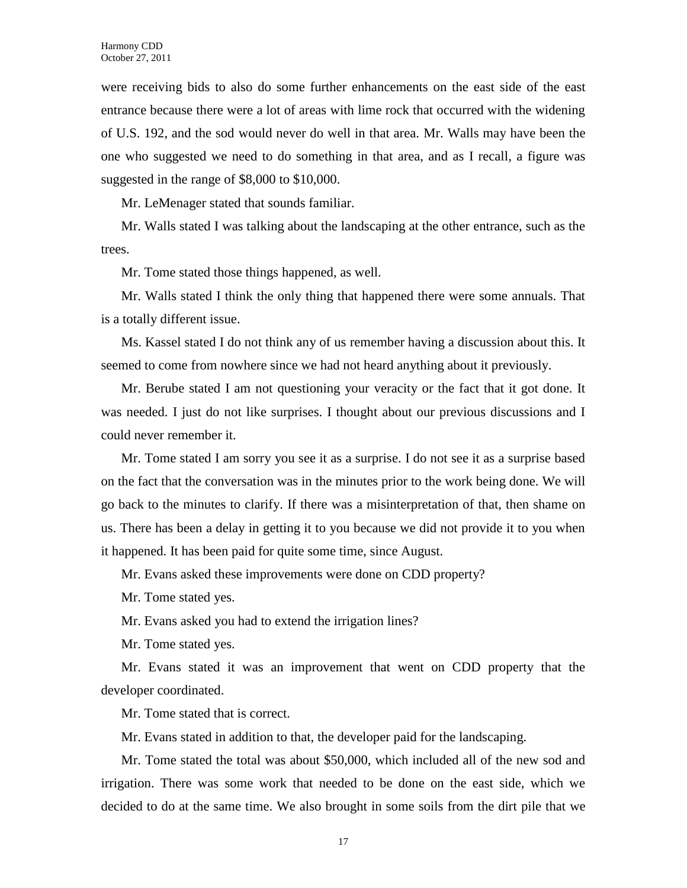were receiving bids to also do some further enhancements on the east side of the east entrance because there were a lot of areas with lime rock that occurred with the widening of U.S. 192, and the sod would never do well in that area. Mr. Walls may have been the one who suggested we need to do something in that area, and as I recall, a figure was suggested in the range of \$8,000 to \$10,000.

Mr. LeMenager stated that sounds familiar.

Mr. Walls stated I was talking about the landscaping at the other entrance, such as the trees.

Mr. Tome stated those things happened, as well.

Mr. Walls stated I think the only thing that happened there were some annuals. That is a totally different issue.

Ms. Kassel stated I do not think any of us remember having a discussion about this. It seemed to come from nowhere since we had not heard anything about it previously.

Mr. Berube stated I am not questioning your veracity or the fact that it got done. It was needed. I just do not like surprises. I thought about our previous discussions and I could never remember it.

Mr. Tome stated I am sorry you see it as a surprise. I do not see it as a surprise based on the fact that the conversation was in the minutes prior to the work being done. We will go back to the minutes to clarify. If there was a misinterpretation of that, then shame on us. There has been a delay in getting it to you because we did not provide it to you when it happened. It has been paid for quite some time, since August.

Mr. Evans asked these improvements were done on CDD property?

Mr. Tome stated yes.

Mr. Evans asked you had to extend the irrigation lines?

Mr. Tome stated yes.

Mr. Evans stated it was an improvement that went on CDD property that the developer coordinated.

Mr. Tome stated that is correct.

Mr. Evans stated in addition to that, the developer paid for the landscaping.

Mr. Tome stated the total was about \$50,000, which included all of the new sod and irrigation. There was some work that needed to be done on the east side, which we decided to do at the same time. We also brought in some soils from the dirt pile that we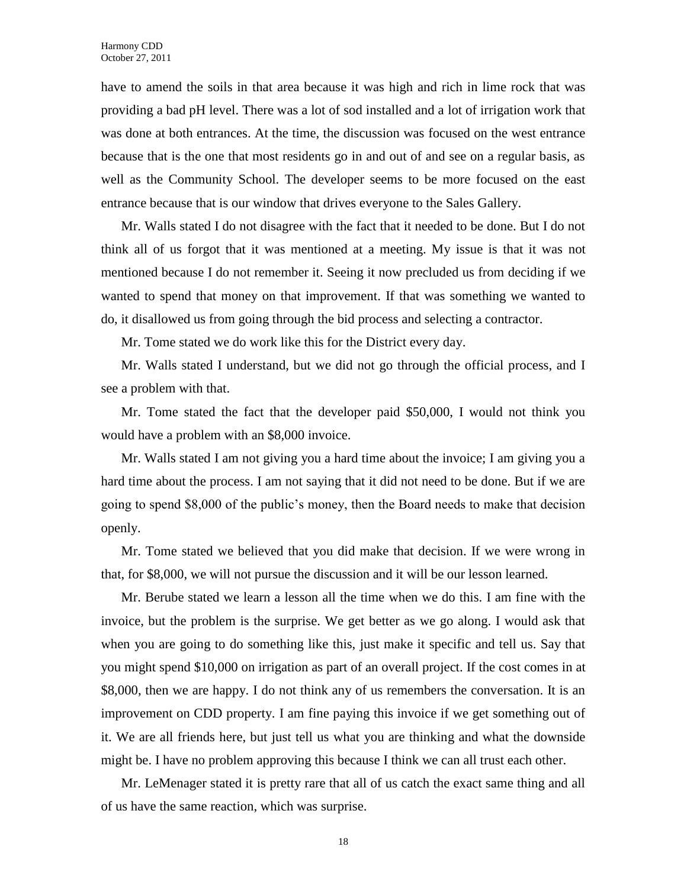have to amend the soils in that area because it was high and rich in lime rock that was providing a bad pH level. There was a lot of sod installed and a lot of irrigation work that was done at both entrances. At the time, the discussion was focused on the west entrance because that is the one that most residents go in and out of and see on a regular basis, as well as the Community School. The developer seems to be more focused on the east entrance because that is our window that drives everyone to the Sales Gallery.

Mr. Walls stated I do not disagree with the fact that it needed to be done. But I do not think all of us forgot that it was mentioned at a meeting. My issue is that it was not mentioned because I do not remember it. Seeing it now precluded us from deciding if we wanted to spend that money on that improvement. If that was something we wanted to do, it disallowed us from going through the bid process and selecting a contractor.

Mr. Tome stated we do work like this for the District every day.

Mr. Walls stated I understand, but we did not go through the official process, and I see a problem with that.

Mr. Tome stated the fact that the developer paid \$50,000, I would not think you would have a problem with an \$8,000 invoice.

Mr. Walls stated I am not giving you a hard time about the invoice; I am giving you a hard time about the process. I am not saying that it did not need to be done. But if we are going to spend \$8,000 of the public's money, then the Board needs to make that decision openly.

Mr. Tome stated we believed that you did make that decision. If we were wrong in that, for \$8,000, we will not pursue the discussion and it will be our lesson learned.

Mr. Berube stated we learn a lesson all the time when we do this. I am fine with the invoice, but the problem is the surprise. We get better as we go along. I would ask that when you are going to do something like this, just make it specific and tell us. Say that you might spend \$10,000 on irrigation as part of an overall project. If the cost comes in at \$8,000, then we are happy. I do not think any of us remembers the conversation. It is an improvement on CDD property. I am fine paying this invoice if we get something out of it. We are all friends here, but just tell us what you are thinking and what the downside might be. I have no problem approving this because I think we can all trust each other.

Mr. LeMenager stated it is pretty rare that all of us catch the exact same thing and all of us have the same reaction, which was surprise.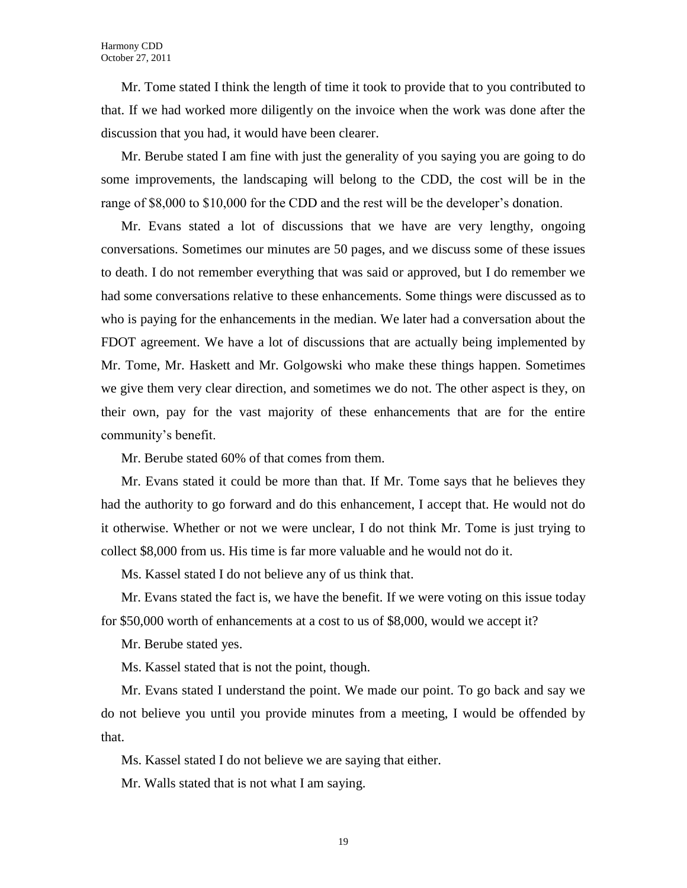Mr. Tome stated I think the length of time it took to provide that to you contributed to that. If we had worked more diligently on the invoice when the work was done after the discussion that you had, it would have been clearer.

Mr. Berube stated I am fine with just the generality of you saying you are going to do some improvements, the landscaping will belong to the CDD, the cost will be in the range of \$8,000 to \$10,000 for the CDD and the rest will be the developer's donation.

Mr. Evans stated a lot of discussions that we have are very lengthy, ongoing conversations. Sometimes our minutes are 50 pages, and we discuss some of these issues to death. I do not remember everything that was said or approved, but I do remember we had some conversations relative to these enhancements. Some things were discussed as to who is paying for the enhancements in the median. We later had a conversation about the FDOT agreement. We have a lot of discussions that are actually being implemented by Mr. Tome, Mr. Haskett and Mr. Golgowski who make these things happen. Sometimes we give them very clear direction, and sometimes we do not. The other aspect is they, on their own, pay for the vast majority of these enhancements that are for the entire community's benefit.

Mr. Berube stated 60% of that comes from them.

Mr. Evans stated it could be more than that. If Mr. Tome says that he believes they had the authority to go forward and do this enhancement, I accept that. He would not do it otherwise. Whether or not we were unclear, I do not think Mr. Tome is just trying to collect \$8,000 from us. His time is far more valuable and he would not do it.

Ms. Kassel stated I do not believe any of us think that.

Mr. Evans stated the fact is, we have the benefit. If we were voting on this issue today for \$50,000 worth of enhancements at a cost to us of \$8,000, would we accept it?

Mr. Berube stated yes.

Ms. Kassel stated that is not the point, though.

Mr. Evans stated I understand the point. We made our point. To go back and say we do not believe you until you provide minutes from a meeting, I would be offended by that.

Ms. Kassel stated I do not believe we are saying that either.

Mr. Walls stated that is not what I am saying.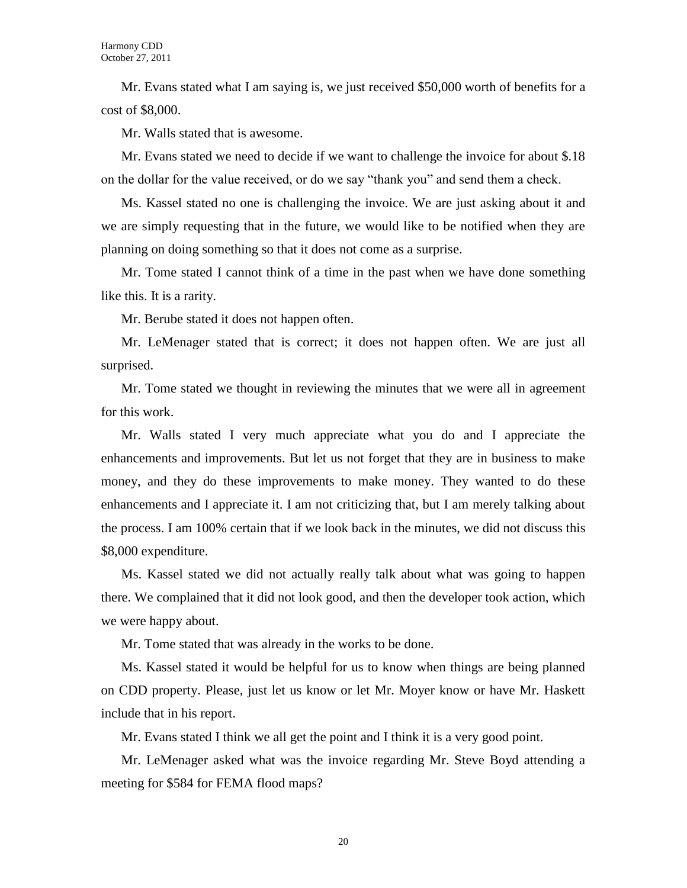Mr. Evans stated what I am saying is, we just received \$50,000 worth of benefits for a cost of \$8,000.

Mr. Walls stated that is awesome.

Mr. Evans stated we need to decide if we want to challenge the invoice for about \$.18 on the dollar for the value received, or do we say "thank you" and send them a check.

Ms. Kassel stated no one is challenging the invoice. We are just asking about it and we are simply requesting that in the future, we would like to be notified when they are planning on doing something so that it does not come as a surprise.

Mr. Tome stated I cannot think of a time in the past when we have done something like this. It is a rarity.

Mr. Berube stated it does not happen often.

Mr. LeMenager stated that is correct; it does not happen often. We are just all surprised.

Mr. Tome stated we thought in reviewing the minutes that we were all in agreement for this work.

Mr. Walls stated I very much appreciate what you do and I appreciate the enhancements and improvements. But let us not forget that they are in business to make money, and they do these improvements to make money. They wanted to do these enhancements and I appreciate it. I am not criticizing that, but I am merely talking about the process. I am 100% certain that if we look back in the minutes, we did not discuss this \$8,000 expenditure.

Ms. Kassel stated we did not actually really talk about what was going to happen there. We complained that it did not look good, and then the developer took action, which we were happy about.

Mr. Tome stated that was already in the works to be done.

Ms. Kassel stated it would be helpful for us to know when things are being planned on CDD property. Please, just let us know or let Mr. Moyer know or have Mr. Haskett include that in his report.

Mr. Evans stated I think we all get the point and I think it is a very good point.

Mr. LeMenager asked what was the invoice regarding Mr. Steve Boyd attending a meeting for \$584 for FEMA flood maps?

20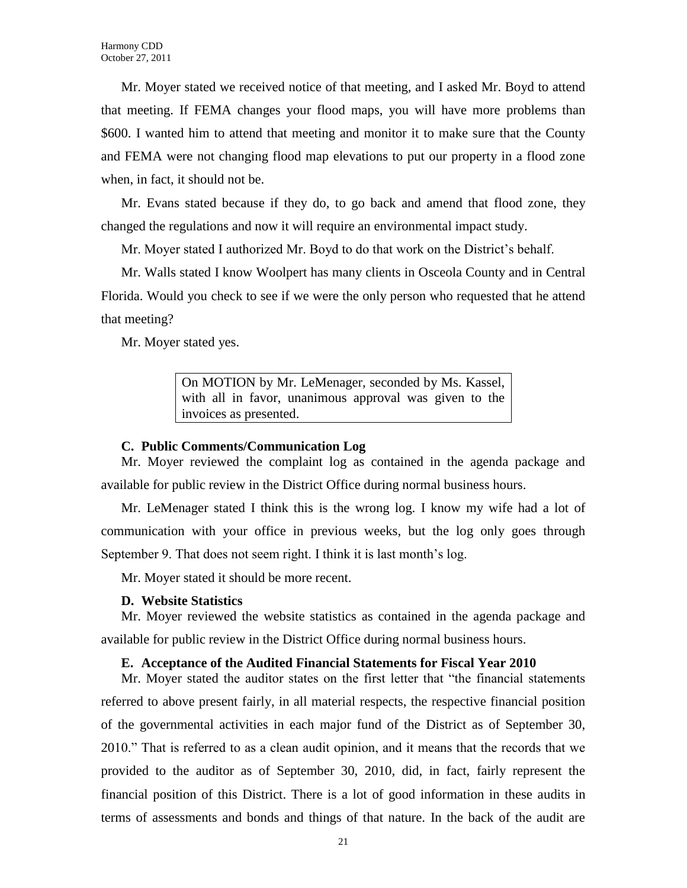Mr. Moyer stated we received notice of that meeting, and I asked Mr. Boyd to attend that meeting. If FEMA changes your flood maps, you will have more problems than \$600. I wanted him to attend that meeting and monitor it to make sure that the County and FEMA were not changing flood map elevations to put our property in a flood zone when, in fact, it should not be.

Mr. Evans stated because if they do, to go back and amend that flood zone, they changed the regulations and now it will require an environmental impact study.

Mr. Moyer stated I authorized Mr. Boyd to do that work on the District's behalf.

Mr. Walls stated I know Woolpert has many clients in Osceola County and in Central Florida. Would you check to see if we were the only person who requested that he attend that meeting?

Mr. Moyer stated yes.

On MOTION by Mr. LeMenager, seconded by Ms. Kassel, with all in favor, unanimous approval was given to the invoices as presented.

## **C. Public Comments/Communication Log**

Mr. Moyer reviewed the complaint log as contained in the agenda package and available for public review in the District Office during normal business hours.

Mr. LeMenager stated I think this is the wrong log. I know my wife had a lot of communication with your office in previous weeks, but the log only goes through September 9. That does not seem right. I think it is last month's log.

Mr. Moyer stated it should be more recent.

#### **D. Website Statistics**

Mr. Moyer reviewed the website statistics as contained in the agenda package and available for public review in the District Office during normal business hours.

#### **E. Acceptance of the Audited Financial Statements for Fiscal Year 2010**

Mr. Moyer stated the auditor states on the first letter that "the financial statements referred to above present fairly, in all material respects, the respective financial position of the governmental activities in each major fund of the District as of September 30, 2010." That is referred to as a clean audit opinion, and it means that the records that we provided to the auditor as of September 30, 2010, did, in fact, fairly represent the financial position of this District. There is a lot of good information in these audits in terms of assessments and bonds and things of that nature. In the back of the audit are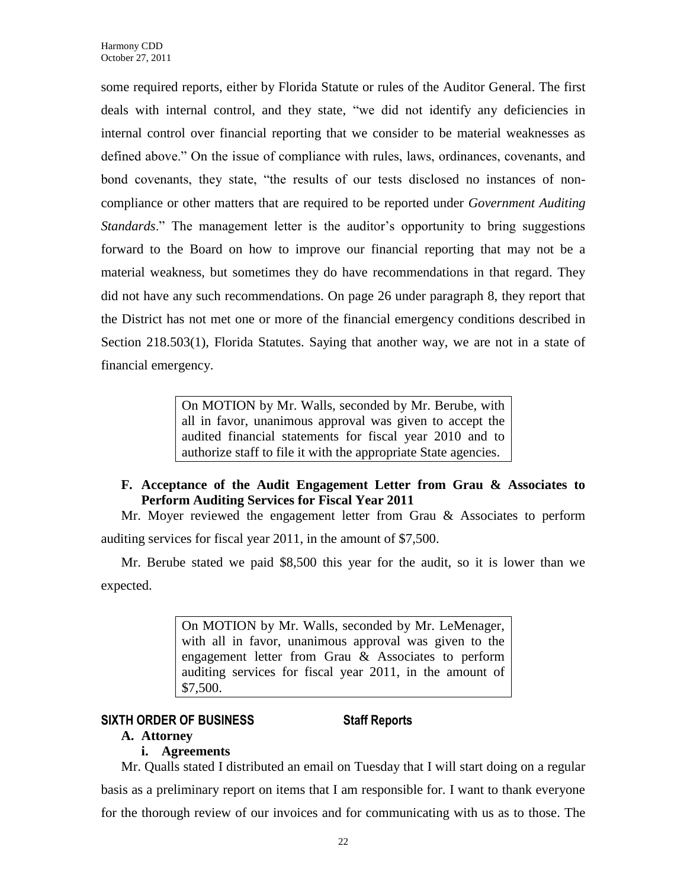some required reports, either by Florida Statute or rules of the Auditor General. The first deals with internal control, and they state, "we did not identify any deficiencies in internal control over financial reporting that we consider to be material weaknesses as defined above." On the issue of compliance with rules, laws, ordinances, covenants, and bond covenants, they state, "the results of our tests disclosed no instances of noncompliance or other matters that are required to be reported under *Government Auditing Standards*." The management letter is the auditor's opportunity to bring suggestions forward to the Board on how to improve our financial reporting that may not be a material weakness, but sometimes they do have recommendations in that regard. They did not have any such recommendations. On page 26 under paragraph 8, they report that the District has not met one or more of the financial emergency conditions described in Section 218.503(1), Florida Statutes. Saying that another way, we are not in a state of financial emergency.

> On MOTION by Mr. Walls, seconded by Mr. Berube, with all in favor, unanimous approval was given to accept the audited financial statements for fiscal year 2010 and to authorize staff to file it with the appropriate State agencies.

# **F. Acceptance of the Audit Engagement Letter from Grau & Associates to Perform Auditing Services for Fiscal Year 2011**

Mr. Moyer reviewed the engagement letter from Grau & Associates to perform auditing services for fiscal year 2011, in the amount of \$7,500.

Mr. Berube stated we paid \$8,500 this year for the audit, so it is lower than we expected.

> On MOTION by Mr. Walls, seconded by Mr. LeMenager, with all in favor, unanimous approval was given to the engagement letter from Grau & Associates to perform auditing services for fiscal year 2011, in the amount of \$7,500.

# **SIXTH ORDER OF BUSINESS Staff Reports**

# **A. Attorney**

# **i. Agreements**

Mr. Qualls stated I distributed an email on Tuesday that I will start doing on a regular basis as a preliminary report on items that I am responsible for. I want to thank everyone for the thorough review of our invoices and for communicating with us as to those. The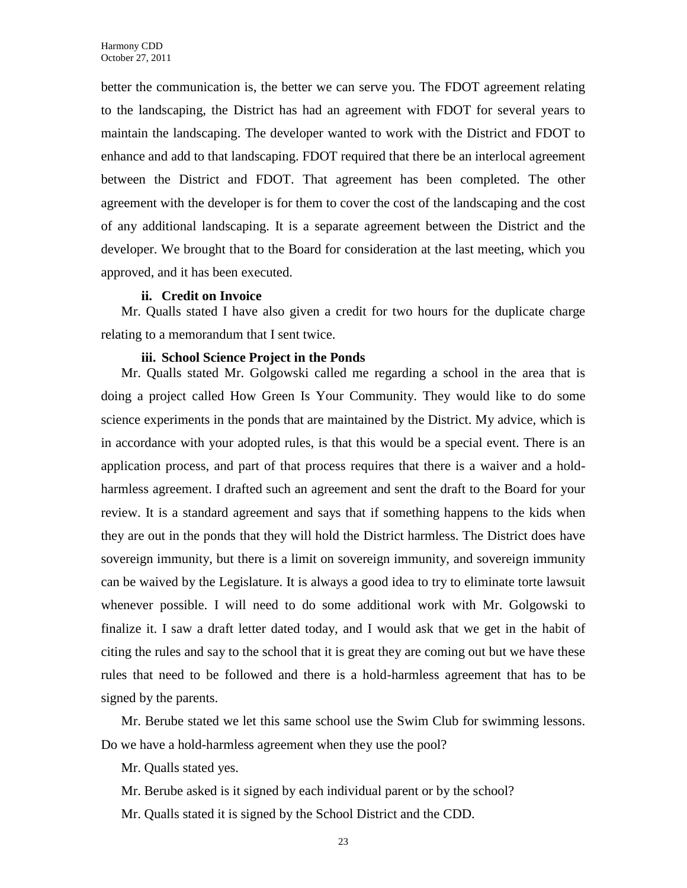better the communication is, the better we can serve you. The FDOT agreement relating to the landscaping, the District has had an agreement with FDOT for several years to maintain the landscaping. The developer wanted to work with the District and FDOT to enhance and add to that landscaping. FDOT required that there be an interlocal agreement between the District and FDOT. That agreement has been completed. The other agreement with the developer is for them to cover the cost of the landscaping and the cost of any additional landscaping. It is a separate agreement between the District and the developer. We brought that to the Board for consideration at the last meeting, which you approved, and it has been executed.

#### **ii. Credit on Invoice**

Mr. Qualls stated I have also given a credit for two hours for the duplicate charge relating to a memorandum that I sent twice.

#### **iii. School Science Project in the Ponds**

Mr. Qualls stated Mr. Golgowski called me regarding a school in the area that is doing a project called How Green Is Your Community. They would like to do some science experiments in the ponds that are maintained by the District. My advice, which is in accordance with your adopted rules, is that this would be a special event. There is an application process, and part of that process requires that there is a waiver and a holdharmless agreement. I drafted such an agreement and sent the draft to the Board for your review. It is a standard agreement and says that if something happens to the kids when they are out in the ponds that they will hold the District harmless. The District does have sovereign immunity, but there is a limit on sovereign immunity, and sovereign immunity can be waived by the Legislature. It is always a good idea to try to eliminate torte lawsuit whenever possible. I will need to do some additional work with Mr. Golgowski to finalize it. I saw a draft letter dated today, and I would ask that we get in the habit of citing the rules and say to the school that it is great they are coming out but we have these rules that need to be followed and there is a hold-harmless agreement that has to be signed by the parents.

Mr. Berube stated we let this same school use the Swim Club for swimming lessons. Do we have a hold-harmless agreement when they use the pool?

Mr. Qualls stated yes.

Mr. Berube asked is it signed by each individual parent or by the school?

Mr. Qualls stated it is signed by the School District and the CDD.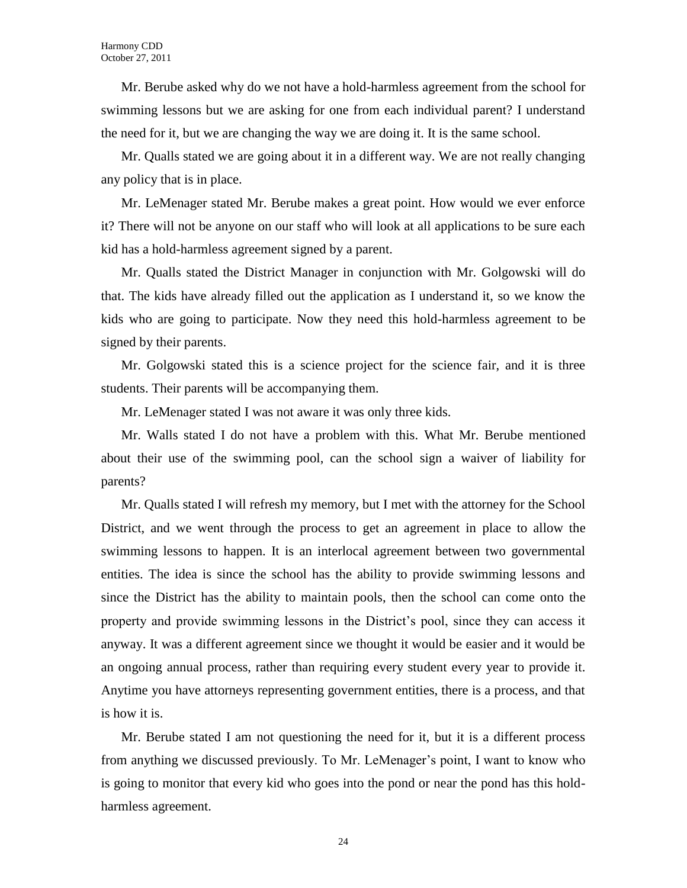Mr. Berube asked why do we not have a hold-harmless agreement from the school for swimming lessons but we are asking for one from each individual parent? I understand the need for it, but we are changing the way we are doing it. It is the same school.

Mr. Qualls stated we are going about it in a different way. We are not really changing any policy that is in place.

Mr. LeMenager stated Mr. Berube makes a great point. How would we ever enforce it? There will not be anyone on our staff who will look at all applications to be sure each kid has a hold-harmless agreement signed by a parent.

Mr. Qualls stated the District Manager in conjunction with Mr. Golgowski will do that. The kids have already filled out the application as I understand it, so we know the kids who are going to participate. Now they need this hold-harmless agreement to be signed by their parents.

Mr. Golgowski stated this is a science project for the science fair, and it is three students. Their parents will be accompanying them.

Mr. LeMenager stated I was not aware it was only three kids.

Mr. Walls stated I do not have a problem with this. What Mr. Berube mentioned about their use of the swimming pool, can the school sign a waiver of liability for parents?

Mr. Qualls stated I will refresh my memory, but I met with the attorney for the School District, and we went through the process to get an agreement in place to allow the swimming lessons to happen. It is an interlocal agreement between two governmental entities. The idea is since the school has the ability to provide swimming lessons and since the District has the ability to maintain pools, then the school can come onto the property and provide swimming lessons in the District's pool, since they can access it anyway. It was a different agreement since we thought it would be easier and it would be an ongoing annual process, rather than requiring every student every year to provide it. Anytime you have attorneys representing government entities, there is a process, and that is how it is.

Mr. Berube stated I am not questioning the need for it, but it is a different process from anything we discussed previously. To Mr. LeMenager's point, I want to know who is going to monitor that every kid who goes into the pond or near the pond has this holdharmless agreement.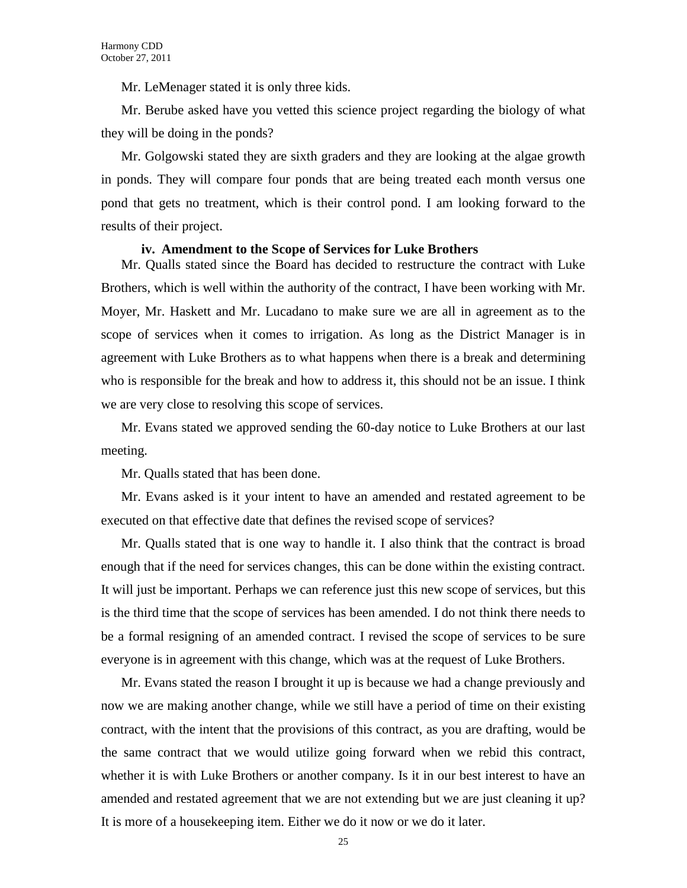Mr. LeMenager stated it is only three kids.

Mr. Berube asked have you vetted this science project regarding the biology of what they will be doing in the ponds?

Mr. Golgowski stated they are sixth graders and they are looking at the algae growth in ponds. They will compare four ponds that are being treated each month versus one pond that gets no treatment, which is their control pond. I am looking forward to the results of their project.

#### **iv. Amendment to the Scope of Services for Luke Brothers**

Mr. Qualls stated since the Board has decided to restructure the contract with Luke Brothers, which is well within the authority of the contract, I have been working with Mr. Moyer, Mr. Haskett and Mr. Lucadano to make sure we are all in agreement as to the scope of services when it comes to irrigation. As long as the District Manager is in agreement with Luke Brothers as to what happens when there is a break and determining who is responsible for the break and how to address it, this should not be an issue. I think we are very close to resolving this scope of services.

Mr. Evans stated we approved sending the 60-day notice to Luke Brothers at our last meeting.

Mr. Qualls stated that has been done.

Mr. Evans asked is it your intent to have an amended and restated agreement to be executed on that effective date that defines the revised scope of services?

Mr. Qualls stated that is one way to handle it. I also think that the contract is broad enough that if the need for services changes, this can be done within the existing contract. It will just be important. Perhaps we can reference just this new scope of services, but this is the third time that the scope of services has been amended. I do not think there needs to be a formal resigning of an amended contract. I revised the scope of services to be sure everyone is in agreement with this change, which was at the request of Luke Brothers.

Mr. Evans stated the reason I brought it up is because we had a change previously and now we are making another change, while we still have a period of time on their existing contract, with the intent that the provisions of this contract, as you are drafting, would be the same contract that we would utilize going forward when we rebid this contract, whether it is with Luke Brothers or another company. Is it in our best interest to have an amended and restated agreement that we are not extending but we are just cleaning it up? It is more of a housekeeping item. Either we do it now or we do it later.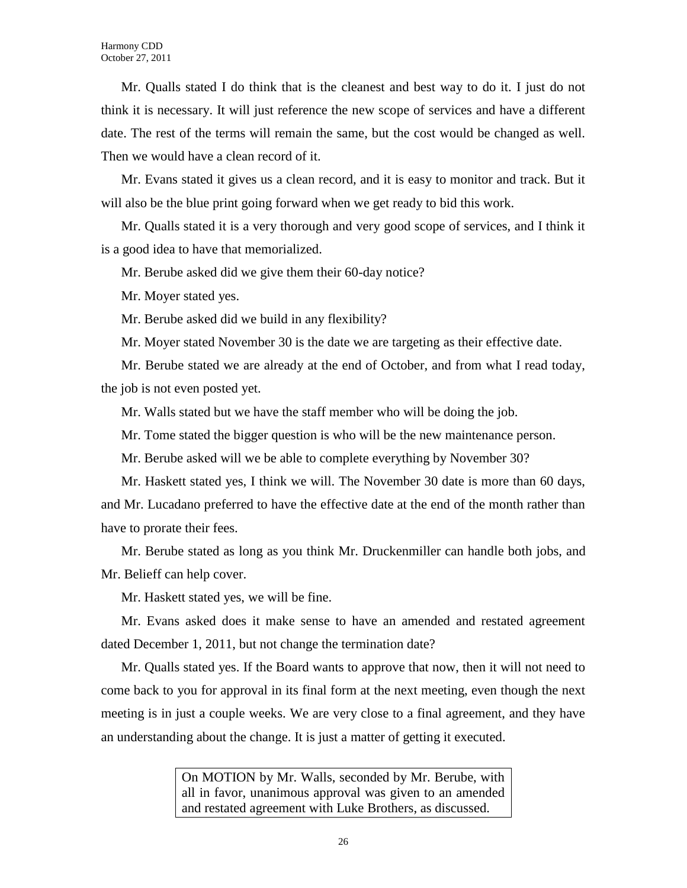Mr. Qualls stated I do think that is the cleanest and best way to do it. I just do not think it is necessary. It will just reference the new scope of services and have a different date. The rest of the terms will remain the same, but the cost would be changed as well. Then we would have a clean record of it.

Mr. Evans stated it gives us a clean record, and it is easy to monitor and track. But it will also be the blue print going forward when we get ready to bid this work.

Mr. Qualls stated it is a very thorough and very good scope of services, and I think it is a good idea to have that memorialized.

Mr. Berube asked did we give them their 60-day notice?

Mr. Moyer stated yes.

Mr. Berube asked did we build in any flexibility?

Mr. Moyer stated November 30 is the date we are targeting as their effective date.

Mr. Berube stated we are already at the end of October, and from what I read today, the job is not even posted yet.

Mr. Walls stated but we have the staff member who will be doing the job.

Mr. Tome stated the bigger question is who will be the new maintenance person.

Mr. Berube asked will we be able to complete everything by November 30?

Mr. Haskett stated yes, I think we will. The November 30 date is more than 60 days, and Mr. Lucadano preferred to have the effective date at the end of the month rather than have to prorate their fees.

Mr. Berube stated as long as you think Mr. Druckenmiller can handle both jobs, and Mr. Belieff can help cover.

Mr. Haskett stated yes, we will be fine.

Mr. Evans asked does it make sense to have an amended and restated agreement dated December 1, 2011, but not change the termination date?

Mr. Qualls stated yes. If the Board wants to approve that now, then it will not need to come back to you for approval in its final form at the next meeting, even though the next meeting is in just a couple weeks. We are very close to a final agreement, and they have an understanding about the change. It is just a matter of getting it executed.

> On MOTION by Mr. Walls, seconded by Mr. Berube, with all in favor, unanimous approval was given to an amended and restated agreement with Luke Brothers, as discussed.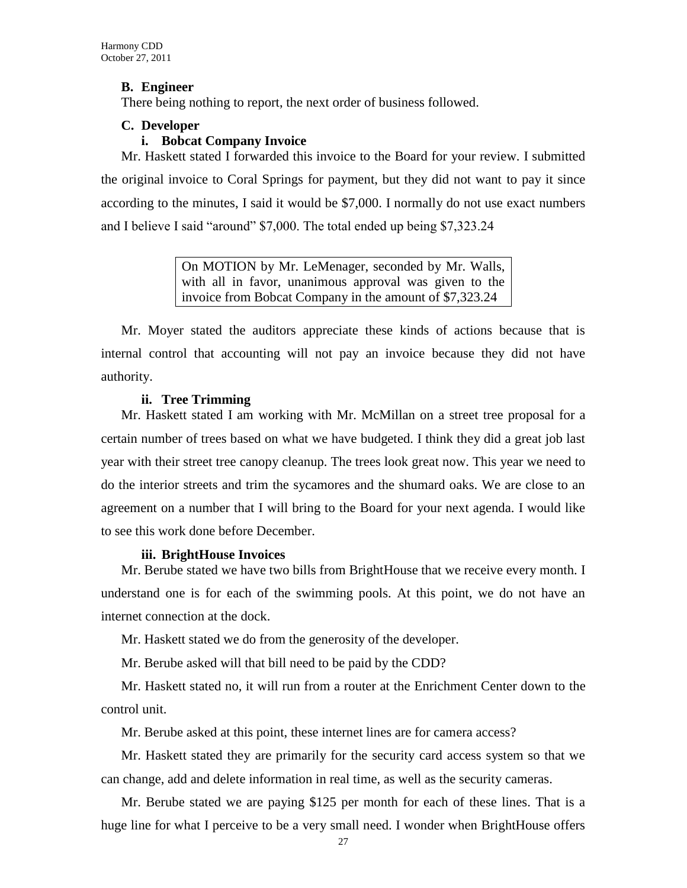# **B. Engineer**

There being nothing to report, the next order of business followed.

# **C. Developer**

## **i. Bobcat Company Invoice**

Mr. Haskett stated I forwarded this invoice to the Board for your review. I submitted the original invoice to Coral Springs for payment, but they did not want to pay it since according to the minutes, I said it would be \$7,000. I normally do not use exact numbers and I believe I said "around" \$7,000. The total ended up being \$7,323.24

> On MOTION by Mr. LeMenager, seconded by Mr. Walls, with all in favor, unanimous approval was given to the invoice from Bobcat Company in the amount of \$7,323.24

Mr. Moyer stated the auditors appreciate these kinds of actions because that is internal control that accounting will not pay an invoice because they did not have authority.

# **ii. Tree Trimming**

Mr. Haskett stated I am working with Mr. McMillan on a street tree proposal for a certain number of trees based on what we have budgeted. I think they did a great job last year with their street tree canopy cleanup. The trees look great now. This year we need to do the interior streets and trim the sycamores and the shumard oaks. We are close to an agreement on a number that I will bring to the Board for your next agenda. I would like to see this work done before December.

### **iii. BrightHouse Invoices**

Mr. Berube stated we have two bills from BrightHouse that we receive every month. I understand one is for each of the swimming pools. At this point, we do not have an internet connection at the dock.

Mr. Haskett stated we do from the generosity of the developer.

Mr. Berube asked will that bill need to be paid by the CDD?

Mr. Haskett stated no, it will run from a router at the Enrichment Center down to the control unit.

Mr. Berube asked at this point, these internet lines are for camera access?

Mr. Haskett stated they are primarily for the security card access system so that we can change, add and delete information in real time, as well as the security cameras.

Mr. Berube stated we are paying \$125 per month for each of these lines. That is a huge line for what I perceive to be a very small need. I wonder when BrightHouse offers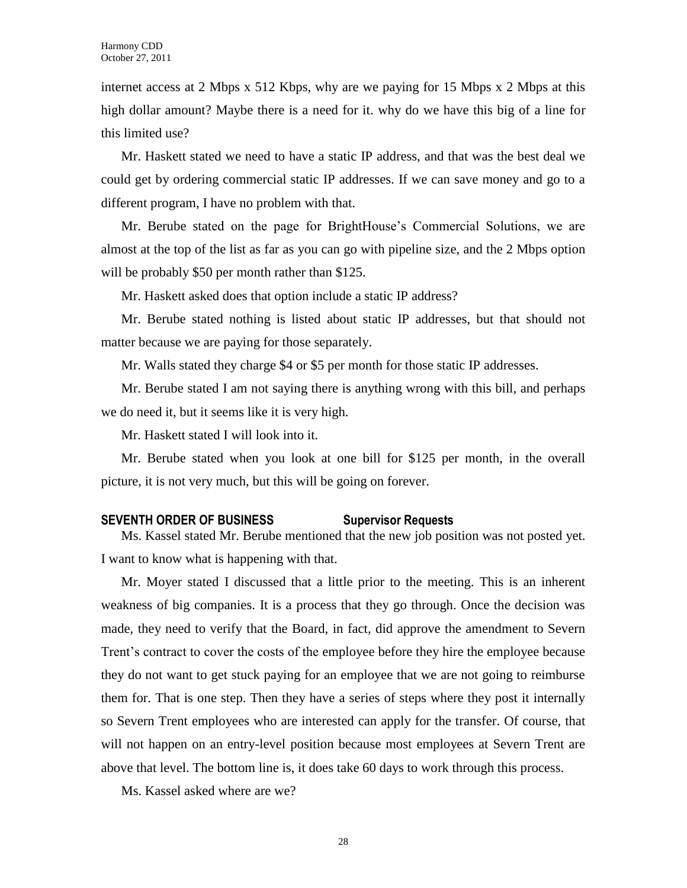internet access at 2 Mbps x 512 Kbps, why are we paying for 15 Mbps x 2 Mbps at this high dollar amount? Maybe there is a need for it. why do we have this big of a line for this limited use?

Mr. Haskett stated we need to have a static IP address, and that was the best deal we could get by ordering commercial static IP addresses. If we can save money and go to a different program, I have no problem with that.

Mr. Berube stated on the page for BrightHouse's Commercial Solutions, we are almost at the top of the list as far as you can go with pipeline size, and the 2 Mbps option will be probably \$50 per month rather than \$125.

Mr. Haskett asked does that option include a static IP address?

Mr. Berube stated nothing is listed about static IP addresses, but that should not matter because we are paying for those separately.

Mr. Walls stated they charge \$4 or \$5 per month for those static IP addresses.

Mr. Berube stated I am not saying there is anything wrong with this bill, and perhaps we do need it, but it seems like it is very high.

Mr. Haskett stated I will look into it.

Mr. Berube stated when you look at one bill for \$125 per month, in the overall picture, it is not very much, but this will be going on forever.

# **SEVENTH ORDER OF BUSINESS Supervisor Requests**

Ms. Kassel stated Mr. Berube mentioned that the new job position was not posted yet. I want to know what is happening with that.

Mr. Moyer stated I discussed that a little prior to the meeting. This is an inherent weakness of big companies. It is a process that they go through. Once the decision was made, they need to verify that the Board, in fact, did approve the amendment to Severn Trent's contract to cover the costs of the employee before they hire the employee because they do not want to get stuck paying for an employee that we are not going to reimburse them for. That is one step. Then they have a series of steps where they post it internally so Severn Trent employees who are interested can apply for the transfer. Of course, that will not happen on an entry-level position because most employees at Severn Trent are above that level. The bottom line is, it does take 60 days to work through this process.

Ms. Kassel asked where are we?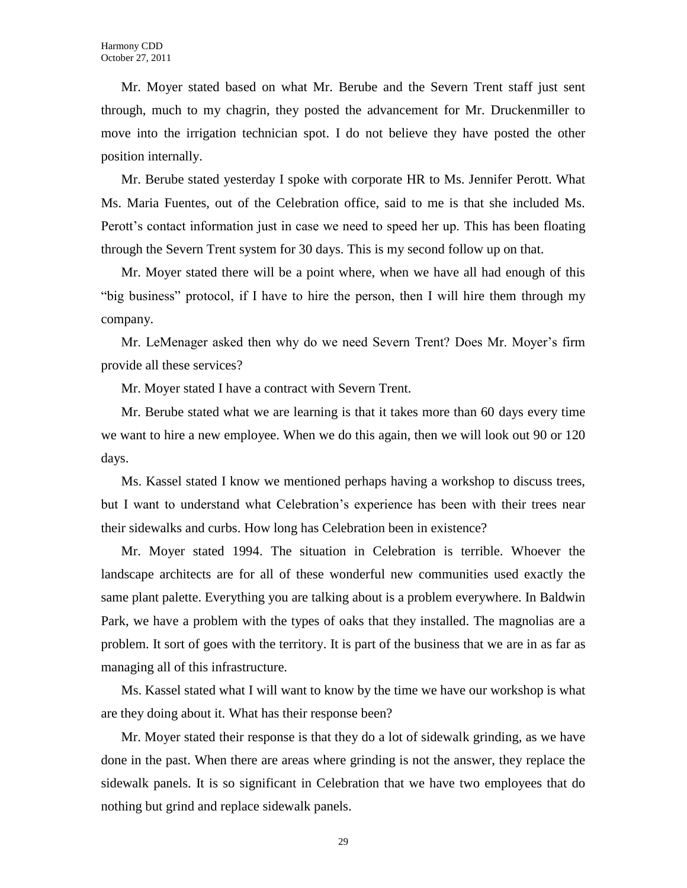Mr. Moyer stated based on what Mr. Berube and the Severn Trent staff just sent through, much to my chagrin, they posted the advancement for Mr. Druckenmiller to move into the irrigation technician spot. I do not believe they have posted the other position internally.

Mr. Berube stated yesterday I spoke with corporate HR to Ms. Jennifer Perott. What Ms. Maria Fuentes, out of the Celebration office, said to me is that she included Ms. Perott's contact information just in case we need to speed her up. This has been floating through the Severn Trent system for 30 days. This is my second follow up on that.

Mr. Moyer stated there will be a point where, when we have all had enough of this "big business" protocol, if I have to hire the person, then I will hire them through my company.

Mr. LeMenager asked then why do we need Severn Trent? Does Mr. Moyer's firm provide all these services?

Mr. Moyer stated I have a contract with Severn Trent.

Mr. Berube stated what we are learning is that it takes more than 60 days every time we want to hire a new employee. When we do this again, then we will look out 90 or 120 days.

Ms. Kassel stated I know we mentioned perhaps having a workshop to discuss trees, but I want to understand what Celebration's experience has been with their trees near their sidewalks and curbs. How long has Celebration been in existence?

Mr. Moyer stated 1994. The situation in Celebration is terrible. Whoever the landscape architects are for all of these wonderful new communities used exactly the same plant palette. Everything you are talking about is a problem everywhere. In Baldwin Park, we have a problem with the types of oaks that they installed. The magnolias are a problem. It sort of goes with the territory. It is part of the business that we are in as far as managing all of this infrastructure.

Ms. Kassel stated what I will want to know by the time we have our workshop is what are they doing about it. What has their response been?

Mr. Moyer stated their response is that they do a lot of sidewalk grinding, as we have done in the past. When there are areas where grinding is not the answer, they replace the sidewalk panels. It is so significant in Celebration that we have two employees that do nothing but grind and replace sidewalk panels.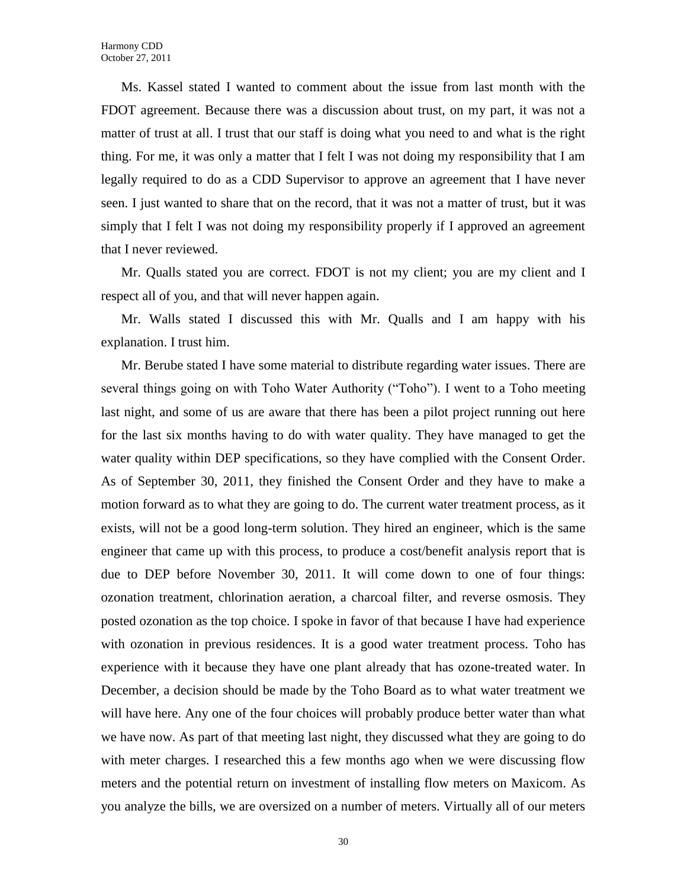Ms. Kassel stated I wanted to comment about the issue from last month with the FDOT agreement. Because there was a discussion about trust, on my part, it was not a matter of trust at all. I trust that our staff is doing what you need to and what is the right thing. For me, it was only a matter that I felt I was not doing my responsibility that I am legally required to do as a CDD Supervisor to approve an agreement that I have never seen. I just wanted to share that on the record, that it was not a matter of trust, but it was simply that I felt I was not doing my responsibility properly if I approved an agreement that I never reviewed.

Mr. Qualls stated you are correct. FDOT is not my client; you are my client and I respect all of you, and that will never happen again.

Mr. Walls stated I discussed this with Mr. Qualls and I am happy with his explanation. I trust him.

Mr. Berube stated I have some material to distribute regarding water issues. There are several things going on with Toho Water Authority ("Toho"). I went to a Toho meeting last night, and some of us are aware that there has been a pilot project running out here for the last six months having to do with water quality. They have managed to get the water quality within DEP specifications, so they have complied with the Consent Order. As of September 30, 2011, they finished the Consent Order and they have to make a motion forward as to what they are going to do. The current water treatment process, as it exists, will not be a good long-term solution. They hired an engineer, which is the same engineer that came up with this process, to produce a cost/benefit analysis report that is due to DEP before November 30, 2011. It will come down to one of four things: ozonation treatment, chlorination aeration, a charcoal filter, and reverse osmosis. They posted ozonation as the top choice. I spoke in favor of that because I have had experience with ozonation in previous residences. It is a good water treatment process. Toho has experience with it because they have one plant already that has ozone-treated water. In December, a decision should be made by the Toho Board as to what water treatment we will have here. Any one of the four choices will probably produce better water than what we have now. As part of that meeting last night, they discussed what they are going to do with meter charges. I researched this a few months ago when we were discussing flow meters and the potential return on investment of installing flow meters on Maxicom. As you analyze the bills, we are oversized on a number of meters. Virtually all of our meters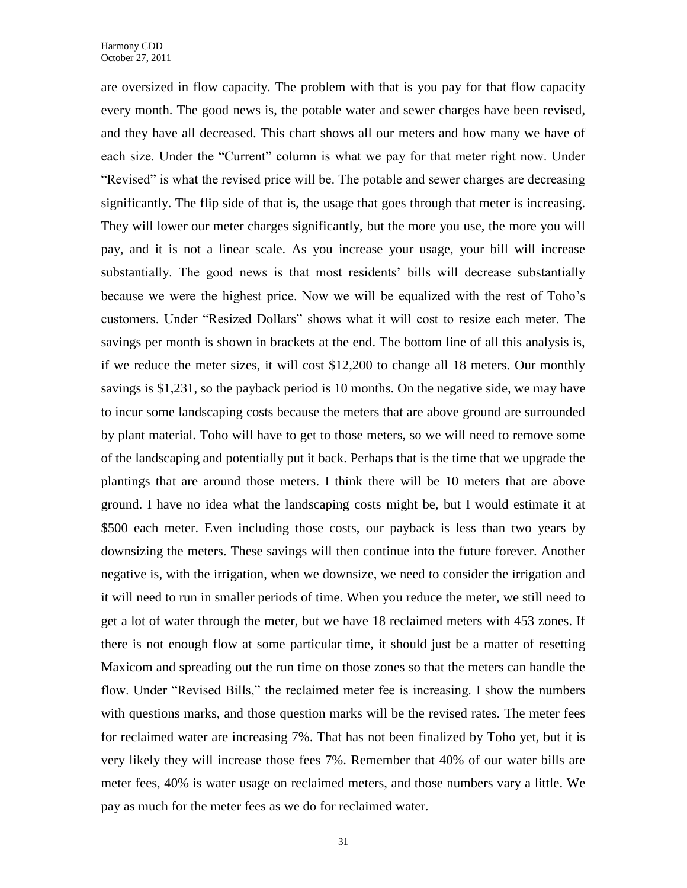are oversized in flow capacity. The problem with that is you pay for that flow capacity every month. The good news is, the potable water and sewer charges have been revised, and they have all decreased. This chart shows all our meters and how many we have of each size. Under the "Current" column is what we pay for that meter right now. Under "Revised" is what the revised price will be. The potable and sewer charges are decreasing significantly. The flip side of that is, the usage that goes through that meter is increasing. They will lower our meter charges significantly, but the more you use, the more you will pay, and it is not a linear scale. As you increase your usage, your bill will increase substantially. The good news is that most residents' bills will decrease substantially because we were the highest price. Now we will be equalized with the rest of Toho's customers. Under "Resized Dollars" shows what it will cost to resize each meter. The savings per month is shown in brackets at the end. The bottom line of all this analysis is, if we reduce the meter sizes, it will cost \$12,200 to change all 18 meters. Our monthly savings is \$1,231, so the payback period is 10 months. On the negative side, we may have to incur some landscaping costs because the meters that are above ground are surrounded by plant material. Toho will have to get to those meters, so we will need to remove some of the landscaping and potentially put it back. Perhaps that is the time that we upgrade the plantings that are around those meters. I think there will be 10 meters that are above ground. I have no idea what the landscaping costs might be, but I would estimate it at \$500 each meter. Even including those costs, our payback is less than two years by downsizing the meters. These savings will then continue into the future forever. Another negative is, with the irrigation, when we downsize, we need to consider the irrigation and it will need to run in smaller periods of time. When you reduce the meter, we still need to get a lot of water through the meter, but we have 18 reclaimed meters with 453 zones. If there is not enough flow at some particular time, it should just be a matter of resetting Maxicom and spreading out the run time on those zones so that the meters can handle the flow. Under "Revised Bills," the reclaimed meter fee is increasing. I show the numbers with questions marks, and those question marks will be the revised rates. The meter fees for reclaimed water are increasing 7%. That has not been finalized by Toho yet, but it is very likely they will increase those fees 7%. Remember that 40% of our water bills are meter fees, 40% is water usage on reclaimed meters, and those numbers vary a little. We pay as much for the meter fees as we do for reclaimed water.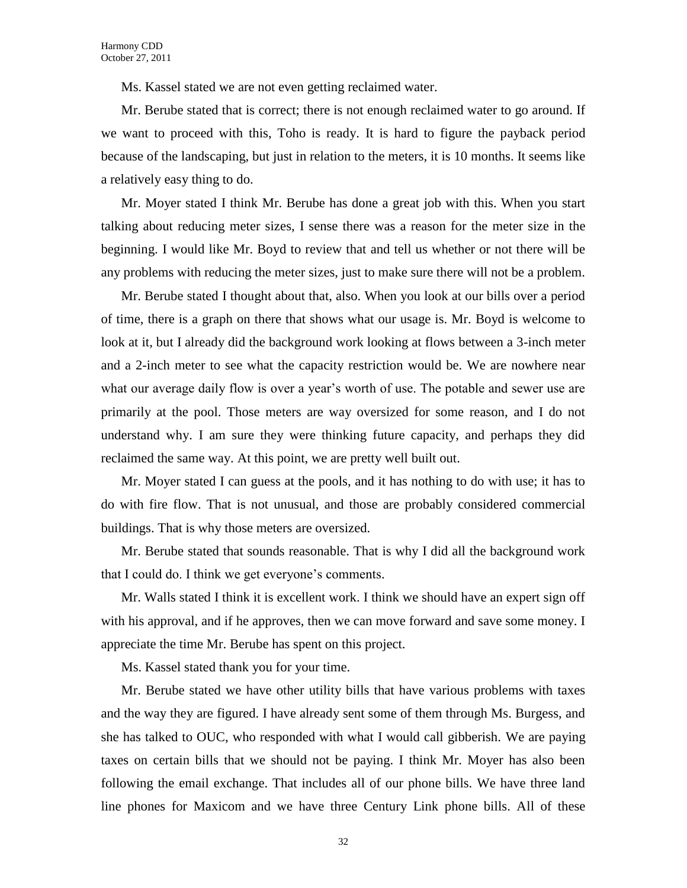Ms. Kassel stated we are not even getting reclaimed water.

Mr. Berube stated that is correct; there is not enough reclaimed water to go around. If we want to proceed with this, Toho is ready. It is hard to figure the payback period because of the landscaping, but just in relation to the meters, it is 10 months. It seems like a relatively easy thing to do.

Mr. Moyer stated I think Mr. Berube has done a great job with this. When you start talking about reducing meter sizes, I sense there was a reason for the meter size in the beginning. I would like Mr. Boyd to review that and tell us whether or not there will be any problems with reducing the meter sizes, just to make sure there will not be a problem.

Mr. Berube stated I thought about that, also. When you look at our bills over a period of time, there is a graph on there that shows what our usage is. Mr. Boyd is welcome to look at it, but I already did the background work looking at flows between a 3-inch meter and a 2-inch meter to see what the capacity restriction would be. We are nowhere near what our average daily flow is over a year's worth of use. The potable and sewer use are primarily at the pool. Those meters are way oversized for some reason, and I do not understand why. I am sure they were thinking future capacity, and perhaps they did reclaimed the same way. At this point, we are pretty well built out.

Mr. Moyer stated I can guess at the pools, and it has nothing to do with use; it has to do with fire flow. That is not unusual, and those are probably considered commercial buildings. That is why those meters are oversized.

Mr. Berube stated that sounds reasonable. That is why I did all the background work that I could do. I think we get everyone's comments.

Mr. Walls stated I think it is excellent work. I think we should have an expert sign off with his approval, and if he approves, then we can move forward and save some money. I appreciate the time Mr. Berube has spent on this project.

Ms. Kassel stated thank you for your time.

Mr. Berube stated we have other utility bills that have various problems with taxes and the way they are figured. I have already sent some of them through Ms. Burgess, and she has talked to OUC, who responded with what I would call gibberish. We are paying taxes on certain bills that we should not be paying. I think Mr. Moyer has also been following the email exchange. That includes all of our phone bills. We have three land line phones for Maxicom and we have three Century Link phone bills. All of these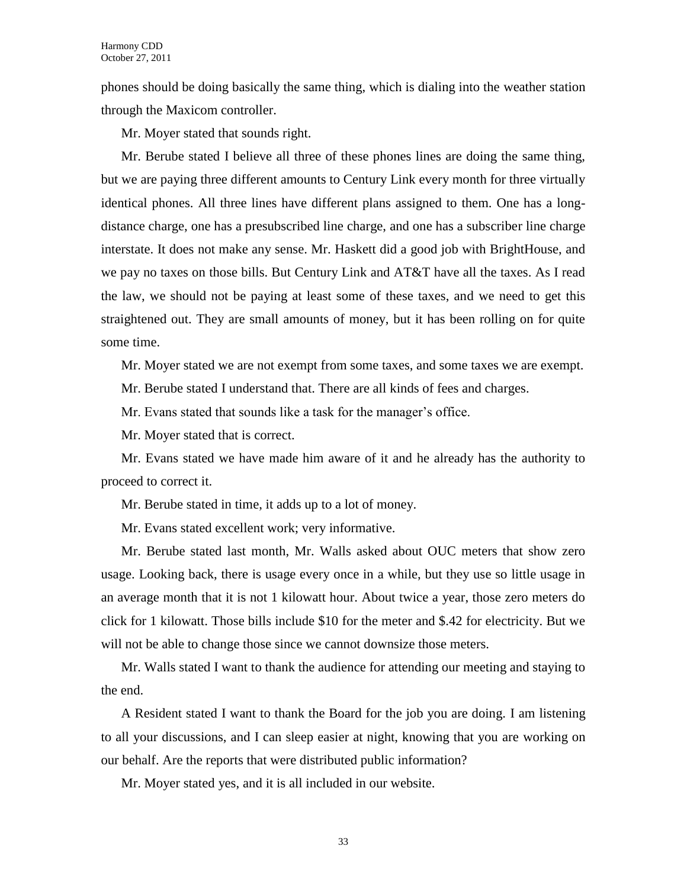phones should be doing basically the same thing, which is dialing into the weather station through the Maxicom controller.

Mr. Moyer stated that sounds right.

Mr. Berube stated I believe all three of these phones lines are doing the same thing, but we are paying three different amounts to Century Link every month for three virtually identical phones. All three lines have different plans assigned to them. One has a longdistance charge, one has a presubscribed line charge, and one has a subscriber line charge interstate. It does not make any sense. Mr. Haskett did a good job with BrightHouse, and we pay no taxes on those bills. But Century Link and AT&T have all the taxes. As I read the law, we should not be paying at least some of these taxes, and we need to get this straightened out. They are small amounts of money, but it has been rolling on for quite some time.

Mr. Moyer stated we are not exempt from some taxes, and some taxes we are exempt.

Mr. Berube stated I understand that. There are all kinds of fees and charges.

Mr. Evans stated that sounds like a task for the manager's office.

Mr. Moyer stated that is correct.

Mr. Evans stated we have made him aware of it and he already has the authority to proceed to correct it.

Mr. Berube stated in time, it adds up to a lot of money.

Mr. Evans stated excellent work; very informative.

Mr. Berube stated last month, Mr. Walls asked about OUC meters that show zero usage. Looking back, there is usage every once in a while, but they use so little usage in an average month that it is not 1 kilowatt hour. About twice a year, those zero meters do click for 1 kilowatt. Those bills include \$10 for the meter and \$.42 for electricity. But we will not be able to change those since we cannot downsize those meters.

Mr. Walls stated I want to thank the audience for attending our meeting and staying to the end.

A Resident stated I want to thank the Board for the job you are doing. I am listening to all your discussions, and I can sleep easier at night, knowing that you are working on our behalf. Are the reports that were distributed public information?

Mr. Moyer stated yes, and it is all included in our website.